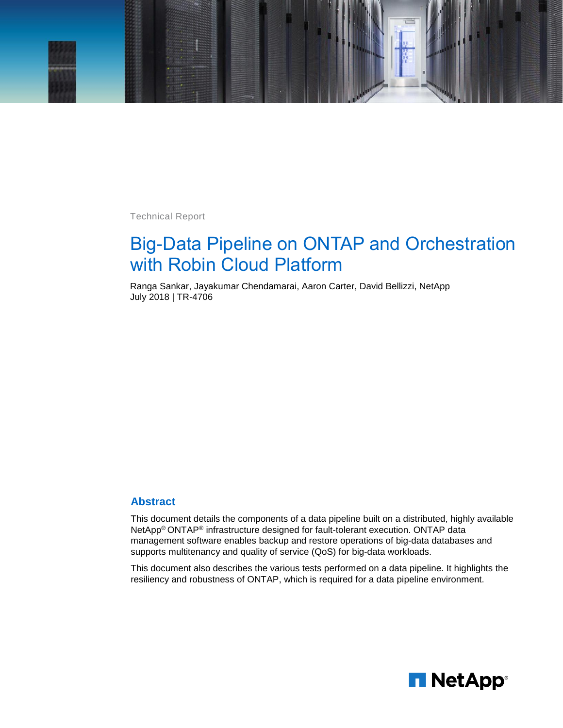

Technical Report

# Big-Data Pipeline on ONTAP and Orchestration with Robin Cloud Platform

Ranga Sankar, Jayakumar Chendamarai, Aaron Carter, David Bellizzi, NetApp July 2018 | TR-4706

#### **Abstract**

This document details the components of a data pipeline built on a distributed, highly available NetApp® ONTAP® infrastructure designed for fault-tolerant execution. ONTAP data management software enables backup and restore operations of big-data databases and supports multitenancy and quality of service (QoS) for big-data workloads.

This document also describes the various tests performed on a data pipeline. It highlights the resiliency and robustness of ONTAP, which is required for a data pipeline environment.

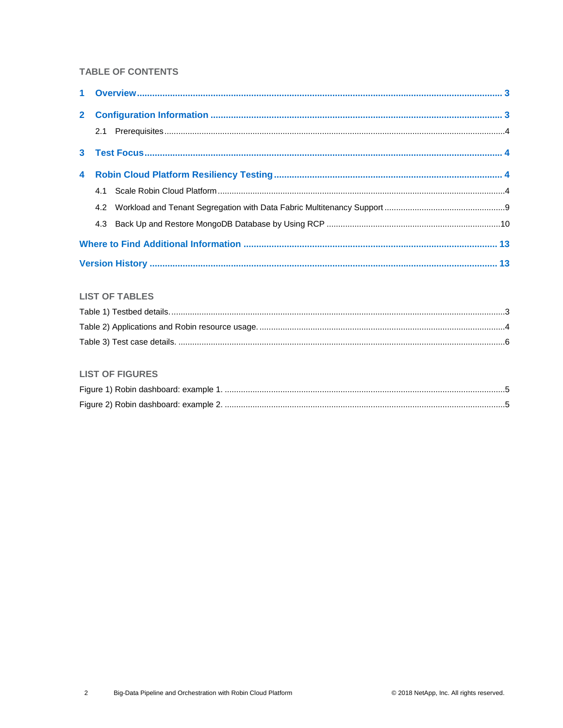#### **TABLE OF CONTENTS**

### **LIST OF TABLES**

#### **LIST OF FIGURES**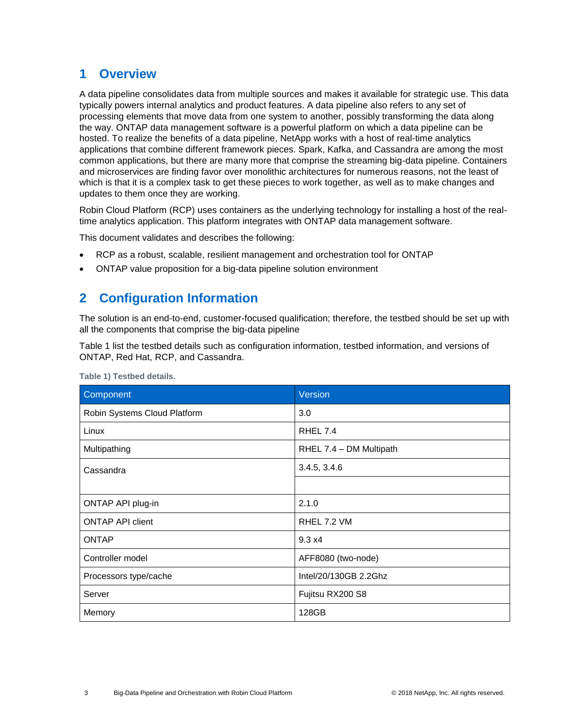## <span id="page-2-0"></span>**1 Overview**

A data pipeline consolidates data from multiple sources and makes it available for strategic use. This data typically powers internal analytics and product features. A data pipeline also refers to any set of processing elements that move data from one system to another, possibly transforming the data along the way. ONTAP data management software is a powerful platform on which a data pipeline can be hosted. To realize the benefits of a data pipeline, NetApp works with a host of real-time analytics applications that combine different framework pieces. Spark, Kafka, and Cassandra are among the most common applications, but there are many more that comprise the streaming big-data pipeline. Containers and microservices are finding favor over monolithic architectures for numerous reasons, not the least of which is that it is a complex task to get these pieces to work together, as well as to make changes and updates to them once they are working.

Robin Cloud Platform (RCP) uses containers as the underlying technology for installing a host of the realtime analytics application. This platform integrates with ONTAP data management software.

This document validates and describes the following:

- RCP as a robust, scalable, resilient management and orchestration tool for ONTAP
- <span id="page-2-1"></span>• ONTAP value proposition for a big-data pipeline solution environment

### **2 Configuration Information**

The solution is an end-to-end, customer-focused qualification; therefore, the testbed should be set up with all the components that comprise the big-data pipeline

[Table 1](#page-2-2) list the testbed details such as configuration information, testbed information, and versions of ONTAP, Red Hat, RCP, and Cassandra.

| Component                    | Version                 |
|------------------------------|-------------------------|
| Robin Systems Cloud Platform | 3.0                     |
| Linux                        | <b>RHEL 7.4</b>         |
| Multipathing                 | RHEL 7.4 - DM Multipath |
| Cassandra                    | 3.4.5, 3.4.6            |
|                              |                         |
| ONTAP API plug-in            | 2.1.0                   |
| <b>ONTAP API client</b>      | RHEL 7.2 VM             |
| <b>ONTAP</b>                 | 9.3 x4                  |
| Controller model             | AFF8080 (two-node)      |
| Processors type/cache        | Intel/20/130GB 2.2Ghz   |
| Server                       | Fujitsu RX200 S8        |
| Memory                       | 128GB                   |

<span id="page-2-2"></span>**Table 1) Testbed details.**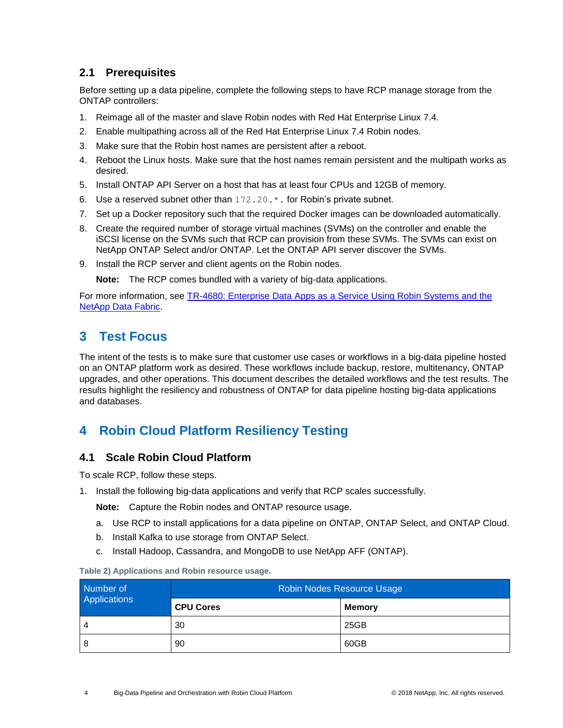### <span id="page-3-0"></span>**2.1 Prerequisites**

Before setting up a data pipeline, complete the following steps to have RCP manage storage from the ONTAP controllers:

- 1. Reimage all of the master and slave Robin nodes with Red Hat Enterprise Linux 7.4.
- 2. Enable multipathing across all of the Red Hat Enterprise Linux 7.4 Robin nodes.
- 3. Make sure that the Robin host names are persistent after a reboot.
- 4. Reboot the Linux hosts. Make sure that the host names remain persistent and the multipath works as desired.
- 5. Install ONTAP API Server on a host that has at least four CPUs and 12GB of memory.
- 6. Use a reserved subnet other than 172.20.\*. for Robin's private subnet.
- 7. Set up a Docker repository such that the required Docker images can be downloaded automatically.
- 8. Create the required number of storage virtual machines (SVMs) on the controller and enable the iSCSI license on the SVMs such that RCP can provision from these SVMs. The SVMs can exist on NetApp ONTAP Select and/or ONTAP. Let the ONTAP API server discover the SVMs.
- 9. Install the RCP server and client agents on the Robin nodes.

**Note:** The RCP comes bundled with a variety of big-data applications.

For more information, see [TR-4680: Enterprise Data Apps as a Service Using Robin Systems and the](https://www.netapp.com/us/media/tr-4680.pdf)  [NetApp Data Fabric.](https://www.netapp.com/us/media/tr-4680.pdf)

# <span id="page-3-1"></span>**3 Test Focus**

The intent of the tests is to make sure that customer use cases or workflows in a big-data pipeline hosted on an ONTAP platform work as desired. These workflows include backup, restore, multitenancy, ONTAP upgrades, and other operations. This document describes the detailed workflows and the test results. The results highlight the resiliency and robustness of ONTAP for data pipeline hosting big-data applications and databases.

## <span id="page-3-2"></span>**4 Robin Cloud Platform Resiliency Testing**

#### <span id="page-3-3"></span>**4.1 Scale Robin Cloud Platform**

To scale RCP, follow these steps.

1. Install the following big-data applications and verify that RCP scales successfully.

**Note:** Capture the Robin nodes and ONTAP resource usage.

- a. Use RCP to install applications for a data pipeline on ONTAP, ONTAP Select, and ONTAP Cloud.
- b. Install Kafka to use storage from ONTAP Select.
- c. Install Hadoop, Cassandra, and MongoDB to use NetApp AFF (ONTAP).

<span id="page-3-4"></span>**Table 2) Applications and Robin resource usage.**

| Number of    | Robin Nodes Resource Usage<br><b>CPU Cores</b><br><b>Memory</b><br>25GB<br>30<br>60GB<br>90 |  |  |  |  |  |
|--------------|---------------------------------------------------------------------------------------------|--|--|--|--|--|
| Applications |                                                                                             |  |  |  |  |  |
| 4            |                                                                                             |  |  |  |  |  |
| 8            |                                                                                             |  |  |  |  |  |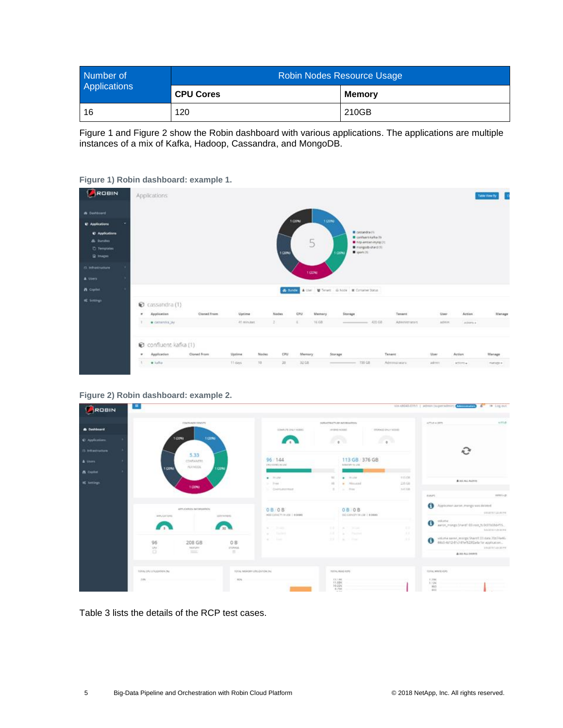| Number of    |                  | Robin Nodes Resource Usage<br>Memory<br>210GB |  |  |  |  |
|--------------|------------------|-----------------------------------------------|--|--|--|--|
| Applications | <b>CPU Cores</b> |                                               |  |  |  |  |
| 16           | 120              |                                               |  |  |  |  |

[Figure 1](#page-4-0) and [Figure 2](#page-4-1) show the Robin dashboard with various applications. The applications are multiple instances of a mix of Kafka, Hadoop, Cassandra, and MongoDB.

<span id="page-4-0"></span>



<span id="page-4-1"></span>**Figure 2) Robin dashboard: example 2.**



[Table 3](#page-5-0) lists the details of the RCP test cases.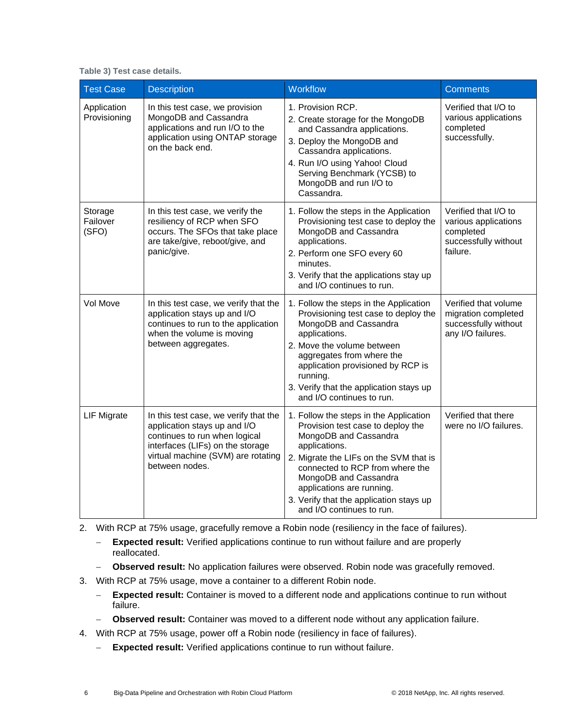<span id="page-5-0"></span>

|  |  |  |  |  | Table 3) Test case details. |
|--|--|--|--|--|-----------------------------|
|--|--|--|--|--|-----------------------------|

| <b>Test Case</b>             | <b>Description</b>                                                                                                                                                                                 | Workflow                                                                                                                                                                                                                                                                                                                         | <b>Comments</b>                                                                               |
|------------------------------|----------------------------------------------------------------------------------------------------------------------------------------------------------------------------------------------------|----------------------------------------------------------------------------------------------------------------------------------------------------------------------------------------------------------------------------------------------------------------------------------------------------------------------------------|-----------------------------------------------------------------------------------------------|
| Application<br>Provisioning  | In this test case, we provision<br>MongoDB and Cassandra<br>applications and run I/O to the<br>application using ONTAP storage<br>on the back end.                                                 | 1. Provision RCP.<br>2. Create storage for the MongoDB<br>and Cassandra applications.<br>3. Deploy the MongoDB and<br>Cassandra applications.<br>4. Run I/O using Yahoo! Cloud<br>Serving Benchmark (YCSB) to<br>MongoDB and run I/O to<br>Cassandra.                                                                            | Verified that I/O to<br>various applications<br>completed<br>successfully.                    |
| Storage<br>Failover<br>(SFO) | In this test case, we verify the<br>resiliency of RCP when SFO<br>occurs. The SFOs that take place<br>are take/give, reboot/give, and<br>panic/give.                                               | 1. Follow the steps in the Application<br>Provisioning test case to deploy the<br>MongoDB and Cassandra<br>applications.<br>2. Perform one SFO every 60<br>minutes.<br>3. Verify that the applications stay up<br>and I/O continues to run.                                                                                      | Verified that I/O to<br>various applications<br>completed<br>successfully without<br>failure. |
| Vol Move                     | In this test case, we verify that the<br>application stays up and I/O<br>continues to run to the application<br>when the volume is moving<br>between aggregates.                                   | 1. Follow the steps in the Application<br>Provisioning test case to deploy the<br>MongoDB and Cassandra<br>applications.<br>2. Move the volume between<br>aggregates from where the<br>application provisioned by RCP is<br>running.<br>3. Verify that the application stays up<br>and I/O continues to run.                     | Verified that volume<br>migration completed<br>successfully without<br>any I/O failures.      |
| <b>LIF Migrate</b>           | In this test case, we verify that the<br>application stays up and I/O<br>continues to run when logical<br>interfaces (LIFs) on the storage<br>virtual machine (SVM) are rotating<br>between nodes. | 1. Follow the steps in the Application<br>Provision test case to deploy the<br>MongoDB and Cassandra<br>applications.<br>2. Migrate the LIFs on the SVM that is<br>connected to RCP from where the<br>MongoDB and Cassandra<br>applications are running.<br>3. Verify that the application stays up<br>and I/O continues to run. | Verified that there<br>were no I/O failures.                                                  |

2. With RCP at 75% usage, gracefully remove a Robin node (resiliency in the face of failures).

- − **Expected result:** Verified applications continue to run without failure and are properly reallocated.
- − **Observed result:** No application failures were observed. Robin node was gracefully removed.
- 3. With RCP at 75% usage, move a container to a different Robin node.
	- − **Expected result:** Container is moved to a different node and applications continue to run without failure.
	- − **Observed result:** Container was moved to a different node without any application failure.
- 4. With RCP at 75% usage, power off a Robin node (resiliency in face of failures).
	- − **Expected result:** Verified applications continue to run without failure.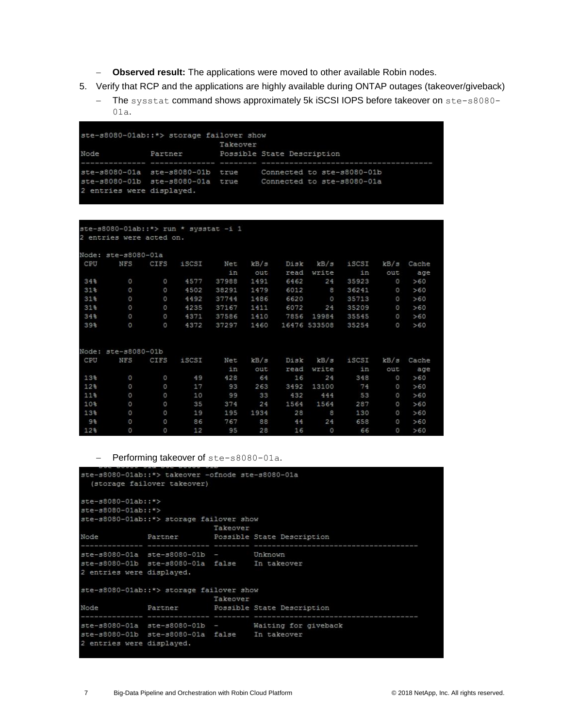- − **Observed result:** The applications were moved to other available Robin nodes.
- 5. Verify that RCP and the applications are highly available during ONTAP outages (takeover/giveback)
	- − The sysstat command shows approximately 5k iSCSI IOPS before takeover on ste-s8080- 01a.

```
ste-s8080-01ab::*> storage failover show
                           Takeover
                           Possible State Description
Node
              Partner
ste-s8080-01a ste-s8080-01b true
                                   Connected to ste-s8080-01b
ste-s8080-01b ste-s8080-01a true Connected to ste-s8080-01a
2 entries were displayed.
```

```
ste-s8080-01ab: :*> run * sysstat -i 1
2 entries were acted on.
Node: ste-s8080-01a
       NFS CIFS iSCSI Net kB/s
                                          Disk kB/s iSCSI kB/s Cache
CPU
                                                              out
                              in
                                    _{\text{out}}read write
                                                                     age
              11<br>18979 - 9577<br>1829 - 9502 - 9502
34%
         \circ1491
                                           6462
                                                 2435923
                                                                      >608 36241
                                   1479
                                           6012
31条
                                                                      >600 357130 4492 37744
                                  1486
                                          6620
31%>606072
                           37167
                                   1411
                                                  24 35209
31%4235
                                                                      >607856 19984
                                                       35545
34%
                     4371
                            37586
                                   1410
                                                                      >6039%
                     4372
                            37297
                                   1460
                                          16476 533508
                                                        35254
                                                                      >60Node: ste-s8080-01b
                    iSCSI
CPU
       NFS CIFS
                             Net
                                   kB/gkB/giSCSI kB/s Cache
                                           Disk
                              in
                                    out
                                           read write
                                                                out
                                                                      age
               \circ13%
                       49
                              428
                                     64
                                            16
                                                  24348
                                                                      >600 \t > 6012%17
                              93
                                   263
                                           3492 13100
                                                          74
         \circ33
                                                                0 \t > 6011%
                      10
                              99
                                           432
                                                 444
                                                          53
                \Omega35
                              374
                                     241564
                                                 1564
                                                          287
                                                                     >6010<sup>2</sup>28
13%
                       19
                              195
                                   1934
                                                          130
                                                                  \circ>6024
 9%
         \circO
                       86
                              767
                                     88
                                             44
                                                          658
                                                                  \circ>6012%
         \circ\circ1295
                                     28
                                            16
                                                   \circ66
                                                                      >60
```
− Performing takeover of ste-s8080-01a.

```
ste-s8080-01ab::*> takeover -ofnode ste-s8080-01a
  (storage failover takeover)
ste-s8080-01ab: :*>
ste-s8080-01ab::*>
ste-s8080-01ab: :*> storage failover show
                             Takeover
                          Possible State Description
Node
              Partner
                      --------- -------- ----
    . . . . . . . . . . . . . . .
ste-s8080-01a ste-s8080-01b - Unknown
ste-s8080-01b ste-s8080-01a false In takeover
2 entries were displayed.
ste-s8080-01ab: :*> storage failover show
                          Tailover Sht<br>Takeover<br>Possible
                             Possible State Description
               Partner
Node
ste-s8080-01a ste-s8080-01b -
                                       Waiting for giveback
ste-s8080-01b ste-s8080-01a false In takeover
2 entries were displayed.
```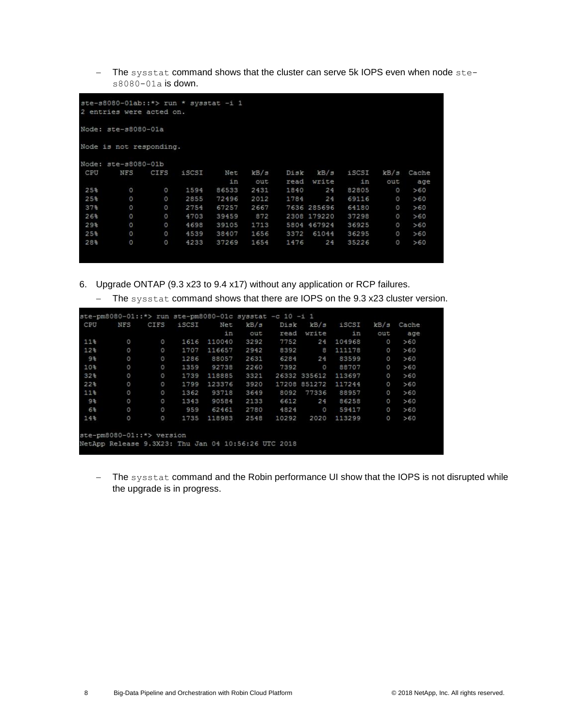− The sysstat command shows that the cluster can serve 5k IOPS even when node stes8080-01a is down.

|                 | 2 entries were acted on. |         | ste-s8080-01ab: :*> run * sysstat -i 1 |       |      |      |             |       |          |       |
|-----------------|--------------------------|---------|----------------------------------------|-------|------|------|-------------|-------|----------|-------|
|                 | Node: ste-s8080-01a      |         |                                        |       |      |      |             |       |          |       |
|                 | Node is not responding.  |         |                                        |       |      |      |             |       |          |       |
|                 | Node: ste-s8080-01b      |         |                                        |       |      |      |             |       |          |       |
| CPU             | <b>NFS</b>               | CIFS    | iSCSI                                  | Net   | kB/s | Disk | kB/s        | iSCSI | kB/s     | Cache |
|                 |                          |         |                                        | in    | out  | read | write       | in    | out      | age   |
| 25%             | $\circ$                  | $\circ$ | 1594                                   | 86533 | 2431 | 1840 | 24          | 82805 | $\circ$  | >60   |
| 25%             | O                        | $\circ$ | 2855                                   | 72496 | 2012 | 1784 | 24          | 69116 | $\circ$  | >60   |
| 37 <sub>5</sub> | $\circ$                  | 0       | 2754                                   | 67257 | 2667 |      | 7636 285696 | 64180 | $\circ$  | >60   |
| 26%             | O                        | O       | 4703                                   | 39459 | 872  |      | 2308 179220 | 37298 | $\circ$  | >60   |
| 29%             | O                        | O       | 4698                                   | 39105 | 1713 |      | 5804 467924 | 36925 | $\circ$  | >60   |
| 25%             | $\circ$                  | $\circ$ | 4539                                   | 38407 | 1656 | 3372 | 61044       | 36295 | $\Omega$ | >60   |
| 28%             | $\circ$                  | O       | 4233                                   | 37269 | 1654 | 1476 | 24          | 35226 | $\circ$  | >60   |

- 6. Upgrade ONTAP (9.3 x23 to 9.4 x17) without any application or RCP failures.
	- − The sysstat command shows that there are IOPS on the 9.3 x23 cluster version.

| CPU            | <b>NFS</b> | CIFS     | iSCSI | Net    | kB/s | Disk  | kB/s         | iSCSI  | kB/s     | Cache |
|----------------|------------|----------|-------|--------|------|-------|--------------|--------|----------|-------|
|                |            |          |       | in     | out  | read  | write        | in     | out      | age   |
| 11%            | $\circ$    | 0        | 1616  | 110040 | 3292 | 7752  | 24           | 104968 | $\circ$  | >60   |
| 12%            | $\circ$    | $\circ$  | 1707  | 116657 | 2942 | 8392  | 8            | 111178 | $\circ$  | >60   |
| 98             | O          | O        | 1286  | 88057  | 2631 | 6284  | 24           | 83599  | $\circ$  | >60   |
| 10%            | $\circ$    | 0        | 1359  | 92738  | 2260 | 7392  | $\circ$      | 88707  | $\circ$  | >60   |
| 32%            | $\circ$    | $\circ$  | 1739  | 118885 | 3321 |       | 26332 335612 | 113697 | $\circ$  | >60   |
| 22%            | $\circ$    | o        | 1799  | 123376 | 3920 |       | 17208 851272 | 117244 | $\circ$  | >60   |
| 11%            | $\circ$    | $\circ$  | 1362  | 93718  | 3649 | 8092  | 77336        | 88957  | $\circ$  | >60   |
| 9%             | $\circ$    | $\circ$  | 1343  | 90584  | 2133 | 6612  | 24           | 86258  | $\theta$ | >60   |
| 6 <sup>3</sup> | O          | $\Omega$ | 959   | 62461  | 2780 | 4824  | $\circ$      | 59417  | $\circ$  | >60   |
| 14%            | O          | $\circ$  | 1735  | 118983 | 2548 | 10292 | 2020         | 113299 | $\circ$  | >60   |

− The sysstat command and the Robin performance UI show that the IOPS is not disrupted while the upgrade is in progress.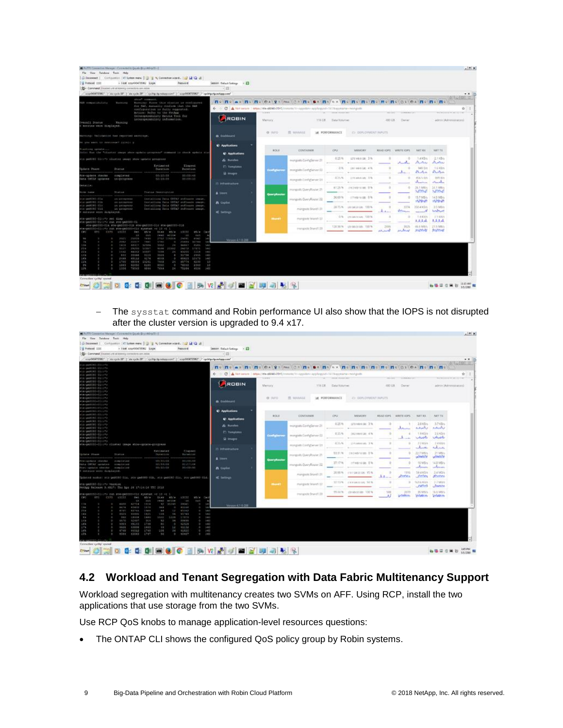|                                                                                                                                                                                                                                                                                                                                                                                                                                                                                                                                                                                                                                                                                                                                                                                                                                                                                                                                                                                                                                                                                                                                                                                                                                                                                                                                                                                                                                                                                                                                                                                                                                                                                                                                                                                                                                                                                                                                                                                                                                                                                                                                                                                                                                                                                                                                                                                                                                                                                                                                                                                                                                                                                                                                                                                                                                                                                                                                                                                                                                                                                                                                                                                                                                                                                                                                                                                                                                                                                                                                                                                                                                                                                                                                                                                                                                                                                                                                                                                                                                                                                                                                                                                                                                                                                                                                                                                                                                                                                                                                                                                                                                                                   |  |  |  |  |  |  |                                      |                 |                                |                                 |                                                  | $n \geq 1$ |
|-------------------------------------------------------------------------------------------------------------------------------------------------------------------------------------------------------------------------------------------------------------------------------------------------------------------------------------------------------------------------------------------------------------------------------------------------------------------------------------------------------------------------------------------------------------------------------------------------------------------------------------------------------------------------------------------------------------------------------------------------------------------------------------------------------------------------------------------------------------------------------------------------------------------------------------------------------------------------------------------------------------------------------------------------------------------------------------------------------------------------------------------------------------------------------------------------------------------------------------------------------------------------------------------------------------------------------------------------------------------------------------------------------------------------------------------------------------------------------------------------------------------------------------------------------------------------------------------------------------------------------------------------------------------------------------------------------------------------------------------------------------------------------------------------------------------------------------------------------------------------------------------------------------------------------------------------------------------------------------------------------------------------------------------------------------------------------------------------------------------------------------------------------------------------------------------------------------------------------------------------------------------------------------------------------------------------------------------------------------------------------------------------------------------------------------------------------------------------------------------------------------------------------------------------------------------------------------------------------------------------------------------------------------------------------------------------------------------------------------------------------------------------------------------------------------------------------------------------------------------------------------------------------------------------------------------------------------------------------------------------------------------------------------------------------------------------------------------------------------------------------------------------------------------------------------------------------------------------------------------------------------------------------------------------------------------------------------------------------------------------------------------------------------------------------------------------------------------------------------------------------------------------------------------------------------------------------------------------------------------------------------------------------------------------------------------------------------------------------------------------------------------------------------------------------------------------------------------------------------------------------------------------------------------------------------------------------------------------------------------------------------------------------------------------------------------------------------------------------------------------------------------------------------------------------------------------------------------------------------------------------------------------------------------------------------------------------------------------------------------------------------------------------------------------------------------------------------------------------------------------------------------------------------------------------------------------------------------------------------------------------------------------------------------|--|--|--|--|--|--|--------------------------------------|-----------------|--------------------------------|---------------------------------|--------------------------------------------------|------------|
|                                                                                                                                                                                                                                                                                                                                                                                                                                                                                                                                                                                                                                                                                                                                                                                                                                                                                                                                                                                                                                                                                                                                                                                                                                                                                                                                                                                                                                                                                                                                                                                                                                                                                                                                                                                                                                                                                                                                                                                                                                                                                                                                                                                                                                                                                                                                                                                                                                                                                                                                                                                                                                                                                                                                                                                                                                                                                                                                                                                                                                                                                                                                                                                                                                                                                                                                                                                                                                                                                                                                                                                                                                                                                                                                                                                                                                                                                                                                                                                                                                                                                                                                                                                                                                                                                                                                                                                                                                                                                                                                                                                                                                                                   |  |  |  |  |  |  |                                      |                 |                                |                                 |                                                  |            |
|                                                                                                                                                                                                                                                                                                                                                                                                                                                                                                                                                                                                                                                                                                                                                                                                                                                                                                                                                                                                                                                                                                                                                                                                                                                                                                                                                                                                                                                                                                                                                                                                                                                                                                                                                                                                                                                                                                                                                                                                                                                                                                                                                                                                                                                                                                                                                                                                                                                                                                                                                                                                                                                                                                                                                                                                                                                                                                                                                                                                                                                                                                                                                                                                                                                                                                                                                                                                                                                                                                                                                                                                                                                                                                                                                                                                                                                                                                                                                                                                                                                                                                                                                                                                                                                                                                                                                                                                                                                                                                                                                                                                                                                                   |  |  |  |  |  |  |                                      |                 |                                |                                 |                                                  |            |
|                                                                                                                                                                                                                                                                                                                                                                                                                                                                                                                                                                                                                                                                                                                                                                                                                                                                                                                                                                                                                                                                                                                                                                                                                                                                                                                                                                                                                                                                                                                                                                                                                                                                                                                                                                                                                                                                                                                                                                                                                                                                                                                                                                                                                                                                                                                                                                                                                                                                                                                                                                                                                                                                                                                                                                                                                                                                                                                                                                                                                                                                                                                                                                                                                                                                                                                                                                                                                                                                                                                                                                                                                                                                                                                                                                                                                                                                                                                                                                                                                                                                                                                                                                                                                                                                                                                                                                                                                                                                                                                                                                                                                                                                   |  |  |  |  |  |  |                                      |                 |                                |                                 |                                                  |            |
|                                                                                                                                                                                                                                                                                                                                                                                                                                                                                                                                                                                                                                                                                                                                                                                                                                                                                                                                                                                                                                                                                                                                                                                                                                                                                                                                                                                                                                                                                                                                                                                                                                                                                                                                                                                                                                                                                                                                                                                                                                                                                                                                                                                                                                                                                                                                                                                                                                                                                                                                                                                                                                                                                                                                                                                                                                                                                                                                                                                                                                                                                                                                                                                                                                                                                                                                                                                                                                                                                                                                                                                                                                                                                                                                                                                                                                                                                                                                                                                                                                                                                                                                                                                                                                                                                                                                                                                                                                                                                                                                                                                                                                                                   |  |  |  |  |  |  |                                      |                 |                                |                                 |                                                  |            |
|                                                                                                                                                                                                                                                                                                                                                                                                                                                                                                                                                                                                                                                                                                                                                                                                                                                                                                                                                                                                                                                                                                                                                                                                                                                                                                                                                                                                                                                                                                                                                                                                                                                                                                                                                                                                                                                                                                                                                                                                                                                                                                                                                                                                                                                                                                                                                                                                                                                                                                                                                                                                                                                                                                                                                                                                                                                                                                                                                                                                                                                                                                                                                                                                                                                                                                                                                                                                                                                                                                                                                                                                                                                                                                                                                                                                                                                                                                                                                                                                                                                                                                                                                                                                                                                                                                                                                                                                                                                                                                                                                                                                                                                                   |  |  |  |  |  |  |                                      |                 |                                |                                 |                                                  | $*$ X      |
|                                                                                                                                                                                                                                                                                                                                                                                                                                                                                                                                                                                                                                                                                                                                                                                                                                                                                                                                                                                                                                                                                                                                                                                                                                                                                                                                                                                                                                                                                                                                                                                                                                                                                                                                                                                                                                                                                                                                                                                                                                                                                                                                                                                                                                                                                                                                                                                                                                                                                                                                                                                                                                                                                                                                                                                                                                                                                                                                                                                                                                                                                                                                                                                                                                                                                                                                                                                                                                                                                                                                                                                                                                                                                                                                                                                                                                                                                                                                                                                                                                                                                                                                                                                                                                                                                                                                                                                                                                                                                                                                                                                                                                                                   |  |  |  |  |  |  |                                      |                 |                                |                                 | $-$ 0 $0$ $1$ $0$ $1$ $0$ $1$ $1$                |            |
| CR-TTF Consisting Manager: Connected to Dayakr Drunkdro TE-1<br>Fix View Outshare Task Help<br>(Disconnect ) Companies (IC System many           N. Connection wined .                            <br>U Peterat 131<br>- liest standshifted Lage.<br><b>Password</b><br>Seesson, Outwat Settings 1, 23<br>Sir Command Thurset of all interior connection are oblica-<br>$-122$<br>map0404700617 / memple 18" / de spile 28" / spilep.hp.ndanp.com/ / map040472062" / spiletp.rip.ortapp.com/<br>arbolisand committee and it.<br>$\blacksquare \bullet \land \blacksquare \bullet \blacksquare \bullet \blacksquare \blacksquare \bullet \blacksquare \bullet \blacksquare \bullet \blacksquare \bullet \blacksquare \bullet \blacksquare \bullet \blacksquare \bullet \blacksquare \bullet \blacksquare \bullet \blacksquare \bullet \blacksquare \bullet \blacksquare \bullet \blacksquare \bullet \blacksquare \bullet \blacksquare \bullet \blacksquare \bullet \blacksquare \bullet \blacksquare \bullet \blacksquare \bullet \blacksquare \bullet \blacksquare \bullet \blacksquare \bullet \blacksquare \bullet \blacksquare \bullet \blacksquare \bullet \blacksquare \bullet \blacksquare \bullet \blacksquare \bullet \blacksquare \bullet \blacksquare \bullet \blacksquare \bullet \blacksquare \bullet \blacksquare$<br>CAM compactible Line<br>Warnung: Minne Chief closier is montiqueer.<br>West Kitt & Chip<br>for NAT, assumily confirm that the SAN<br>← → C ) A lot setze   MMA/VER-0040-0181/mmMM/1:-scmftr>+ayphapod-151/happhars -mongleb<br>configuration is fally supported.<br>an interest was ready<br>Article: Refer to the Nether-<br><b>SOART</b><br>Enterspershallty Motals Tool Dog<br>ROBIN<br>Locacopersbilley information.<br>Merica's<br>TTX CIE Cata Virturnet<br>verall Statue<br><b>Warning</b><br>entries were displayed.<br><b>EL MANASS</b><br><b>M. PERFORMANCE</b><br>$-0.100$<br><b>B</b> Dishboyd<br>Werning: Veildetich her reported wentings.<br>It you want to remove and tyres. It<br><b>C</b> Applications<br>Lastiana uplaterna<br><b>CONTAINER</b><br><b>CRU</b><br><b>WOLE</b><br>tolet that the "cluster image show-spiker-propince" common to these option are<br>C Applications<br>0.25 lbs<br>to padD80 (Irr7) claster image show-update progress<br>& Rondas<br>10.1er/aCphild.class.com<br><b>Elepres</b><br>Ertimated<br><b>C: Templatos</b><br>$-0.96$<br>Gdate Thase<br>Duration<br>Statut<br>Duranion.<br>and glass<br>mongodo ConfigSatvor (D)<br>Q images<br>00100149<br>00133103<br>tre-update stacks<br>completed<br>0.25%<br>Data ONTAF updates<br><b>IA-progress</b><br>03/13/1008<br>00100110<br>morgo@ Configherver 23<br>II. infrastructure<br>00001101<br>8125%  J163A01638 0.9<br>morgailly QueryRouter 21<br>ylar halder<br><b>Richard Green</b><br>Flatos Heachighted<br>4 Iners<br><b>QuaryRoute</b><br>36.69 W<br>$-0.14 - 0.01$<br>ski-pirolsteine<br>installing Data GEERS and terro smaps.<br>mangada.QueryRouter.02<br>$a + 4a + 5 + 6 + -5$<br>Invialisms Data GNT&2 auditors image;<br>60-241019-0-6<br><b>n</b> Coulde<br>to percet-tic<br>Installing Duta GKEAP suffered image.<br>in progress<br>SETS N. LOS GASESAL TOO N.<br>to undered this<br>10 progress<br>Enstalling Dota CHTAP ouftward lange.<br>mishesom Shared III<br>of terms<br>sonsits were displayed.<br>0413 244-011-241-249-010<br>margism snarch 22<br>14-pmdd00-2111*> run rt4-pmd000-01<br>ste-pm0000-21A ste-pm0000-01B ste-pm0000-018 ste-pm00001-218<br>130.55 % 120 (80.00 GS) 100 %<br>rte-poddod-clin+b run ete-poddod-clo erastat -f 10 =1 1<br>impropolls Sture11.03<br>œ<br><b>NYT</b><br>$-0.0193$<br><b>ARCRY</b><br><b>Simm</b><br><b>MS/a</b><br><b>KINGST</b><br><b>RS/# Cad</b><br>01/68<br>85/3<br>11<br><b>COL</b><br>casti tertine<br>morti-<br>$\sim$<br>t<br>25938<br>74 00<br>JULY 114314<br>$3-3n$ $F$ <sup>3</sup><br>24/297<br>0.154, 7<br>Venezuel 1-5-200<br>PR.<br>1941<br>$+ + 4 + 4$<br><b>PIPER</b><br><b>FEB 27</b><br><b>COL</b><br>12186<br>225.7<br>1 a/1 it<br>88975<br><b>WARD</b><br>$7 - 4$<br>\$6.55<br><b>SAN</b><br>$37 +$<br>31.0<br>ジネンタマン<br>3 CSN<br>9104<br>上にあたま<br>ジャクセ<br>17373<br>(1, 0)<br>$2-1$ in<br>34.82<br><b>AGSCY STREET</b><br>1014<br>25.<br>8.8205<br>1118<br>340<br>243<br>6.0-0<br>3358<br>34.58<br>32734<br>22144<br>٠<br>コマット<br>341<br>14%<br>4418<br>2488<br>63132<br>9176<br>45.823<br>10478<br>$3-84$<br>7448<br>22%<br>23242<br>65774<br>8230<br>1790<br>69034<br>24<br>$^{12}$<br><b>PV</b><br>9942<br>78948<br>2382<br>3843<br>92750<br>\$195<br>1.3<br>3.0%<br>1336<br>79243<br>1011<br>7618<br>73291<br>9326<br>560<br>$-14$ |  |  |  |  |  |  |                                      |                 |                                |                                 |                                                  |            |
|                                                                                                                                                                                                                                                                                                                                                                                                                                                                                                                                                                                                                                                                                                                                                                                                                                                                                                                                                                                                                                                                                                                                                                                                                                                                                                                                                                                                                                                                                                                                                                                                                                                                                                                                                                                                                                                                                                                                                                                                                                                                                                                                                                                                                                                                                                                                                                                                                                                                                                                                                                                                                                                                                                                                                                                                                                                                                                                                                                                                                                                                                                                                                                                                                                                                                                                                                                                                                                                                                                                                                                                                                                                                                                                                                                                                                                                                                                                                                                                                                                                                                                                                                                                                                                                                                                                                                                                                                                                                                                                                                                                                                                                                   |  |  |  |  |  |  |                                      |                 |                                |                                 | 壺                                                |            |
|                                                                                                                                                                                                                                                                                                                                                                                                                                                                                                                                                                                                                                                                                                                                                                                                                                                                                                                                                                                                                                                                                                                                                                                                                                                                                                                                                                                                                                                                                                                                                                                                                                                                                                                                                                                                                                                                                                                                                                                                                                                                                                                                                                                                                                                                                                                                                                                                                                                                                                                                                                                                                                                                                                                                                                                                                                                                                                                                                                                                                                                                                                                                                                                                                                                                                                                                                                                                                                                                                                                                                                                                                                                                                                                                                                                                                                                                                                                                                                                                                                                                                                                                                                                                                                                                                                                                                                                                                                                                                                                                                                                                                                                                   |  |  |  |  |  |  |                                      | Contractor Inc. | The property of the            |                                 | the charter to consider the County of the County |            |
|                                                                                                                                                                                                                                                                                                                                                                                                                                                                                                                                                                                                                                                                                                                                                                                                                                                                                                                                                                                                                                                                                                                                                                                                                                                                                                                                                                                                                                                                                                                                                                                                                                                                                                                                                                                                                                                                                                                                                                                                                                                                                                                                                                                                                                                                                                                                                                                                                                                                                                                                                                                                                                                                                                                                                                                                                                                                                                                                                                                                                                                                                                                                                                                                                                                                                                                                                                                                                                                                                                                                                                                                                                                                                                                                                                                                                                                                                                                                                                                                                                                                                                                                                                                                                                                                                                                                                                                                                                                                                                                                                                                                                                                                   |  |  |  |  |  |  |                                      | 1200            | Osinian                        |                                 | adeter Mohnment attend-                          |            |
|                                                                                                                                                                                                                                                                                                                                                                                                                                                                                                                                                                                                                                                                                                                                                                                                                                                                                                                                                                                                                                                                                                                                                                                                                                                                                                                                                                                                                                                                                                                                                                                                                                                                                                                                                                                                                                                                                                                                                                                                                                                                                                                                                                                                                                                                                                                                                                                                                                                                                                                                                                                                                                                                                                                                                                                                                                                                                                                                                                                                                                                                                                                                                                                                                                                                                                                                                                                                                                                                                                                                                                                                                                                                                                                                                                                                                                                                                                                                                                                                                                                                                                                                                                                                                                                                                                                                                                                                                                                                                                                                                                                                                                                                   |  |  |  |  |  |  |                                      |                 |                                |                                 |                                                  |            |
|                                                                                                                                                                                                                                                                                                                                                                                                                                                                                                                                                                                                                                                                                                                                                                                                                                                                                                                                                                                                                                                                                                                                                                                                                                                                                                                                                                                                                                                                                                                                                                                                                                                                                                                                                                                                                                                                                                                                                                                                                                                                                                                                                                                                                                                                                                                                                                                                                                                                                                                                                                                                                                                                                                                                                                                                                                                                                                                                                                                                                                                                                                                                                                                                                                                                                                                                                                                                                                                                                                                                                                                                                                                                                                                                                                                                                                                                                                                                                                                                                                                                                                                                                                                                                                                                                                                                                                                                                                                                                                                                                                                                                                                                   |  |  |  |  |  |  |                                      |                 |                                |                                 |                                                  |            |
|                                                                                                                                                                                                                                                                                                                                                                                                                                                                                                                                                                                                                                                                                                                                                                                                                                                                                                                                                                                                                                                                                                                                                                                                                                                                                                                                                                                                                                                                                                                                                                                                                                                                                                                                                                                                                                                                                                                                                                                                                                                                                                                                                                                                                                                                                                                                                                                                                                                                                                                                                                                                                                                                                                                                                                                                                                                                                                                                                                                                                                                                                                                                                                                                                                                                                                                                                                                                                                                                                                                                                                                                                                                                                                                                                                                                                                                                                                                                                                                                                                                                                                                                                                                                                                                                                                                                                                                                                                                                                                                                                                                                                                                                   |  |  |  |  |  |  | <b><i>ET: DEPLOYMENT INFUITE</i></b> |                 |                                |                                 |                                                  |            |
|                                                                                                                                                                                                                                                                                                                                                                                                                                                                                                                                                                                                                                                                                                                                                                                                                                                                                                                                                                                                                                                                                                                                                                                                                                                                                                                                                                                                                                                                                                                                                                                                                                                                                                                                                                                                                                                                                                                                                                                                                                                                                                                                                                                                                                                                                                                                                                                                                                                                                                                                                                                                                                                                                                                                                                                                                                                                                                                                                                                                                                                                                                                                                                                                                                                                                                                                                                                                                                                                                                                                                                                                                                                                                                                                                                                                                                                                                                                                                                                                                                                                                                                                                                                                                                                                                                                                                                                                                                                                                                                                                                                                                                                                   |  |  |  |  |  |  |                                      |                 |                                |                                 |                                                  |            |
|                                                                                                                                                                                                                                                                                                                                                                                                                                                                                                                                                                                                                                                                                                                                                                                                                                                                                                                                                                                                                                                                                                                                                                                                                                                                                                                                                                                                                                                                                                                                                                                                                                                                                                                                                                                                                                                                                                                                                                                                                                                                                                                                                                                                                                                                                                                                                                                                                                                                                                                                                                                                                                                                                                                                                                                                                                                                                                                                                                                                                                                                                                                                                                                                                                                                                                                                                                                                                                                                                                                                                                                                                                                                                                                                                                                                                                                                                                                                                                                                                                                                                                                                                                                                                                                                                                                                                                                                                                                                                                                                                                                                                                                                   |  |  |  |  |  |  |                                      |                 |                                |                                 |                                                  |            |
|                                                                                                                                                                                                                                                                                                                                                                                                                                                                                                                                                                                                                                                                                                                                                                                                                                                                                                                                                                                                                                                                                                                                                                                                                                                                                                                                                                                                                                                                                                                                                                                                                                                                                                                                                                                                                                                                                                                                                                                                                                                                                                                                                                                                                                                                                                                                                                                                                                                                                                                                                                                                                                                                                                                                                                                                                                                                                                                                                                                                                                                                                                                                                                                                                                                                                                                                                                                                                                                                                                                                                                                                                                                                                                                                                                                                                                                                                                                                                                                                                                                                                                                                                                                                                                                                                                                                                                                                                                                                                                                                                                                                                                                                   |  |  |  |  |  |  | MEMORY                               |                 | <b>READ YOU'S : WAITS JOYS</b> | <b>NAT KK</b>                   | WET TX                                           |            |
|                                                                                                                                                                                                                                                                                                                                                                                                                                                                                                                                                                                                                                                                                                                                                                                                                                                                                                                                                                                                                                                                                                                                                                                                                                                                                                                                                                                                                                                                                                                                                                                                                                                                                                                                                                                                                                                                                                                                                                                                                                                                                                                                                                                                                                                                                                                                                                                                                                                                                                                                                                                                                                                                                                                                                                                                                                                                                                                                                                                                                                                                                                                                                                                                                                                                                                                                                                                                                                                                                                                                                                                                                                                                                                                                                                                                                                                                                                                                                                                                                                                                                                                                                                                                                                                                                                                                                                                                                                                                                                                                                                                                                                                                   |  |  |  |  |  |  |                                      |                 |                                |                                 |                                                  |            |
|                                                                                                                                                                                                                                                                                                                                                                                                                                                                                                                                                                                                                                                                                                                                                                                                                                                                                                                                                                                                                                                                                                                                                                                                                                                                                                                                                                                                                                                                                                                                                                                                                                                                                                                                                                                                                                                                                                                                                                                                                                                                                                                                                                                                                                                                                                                                                                                                                                                                                                                                                                                                                                                                                                                                                                                                                                                                                                                                                                                                                                                                                                                                                                                                                                                                                                                                                                                                                                                                                                                                                                                                                                                                                                                                                                                                                                                                                                                                                                                                                                                                                                                                                                                                                                                                                                                                                                                                                                                                                                                                                                                                                                                                   |  |  |  |  |  |  | <b>UNIVERSIDE 3%</b>                 |                 | $-12$<br>فتحسبان               | $-1.483$ $%$<br>Achie           | $-2.1886$<br>A Maria                             |            |
|                                                                                                                                                                                                                                                                                                                                                                                                                                                                                                                                                                                                                                                                                                                                                                                                                                                                                                                                                                                                                                                                                                                                                                                                                                                                                                                                                                                                                                                                                                                                                                                                                                                                                                                                                                                                                                                                                                                                                                                                                                                                                                                                                                                                                                                                                                                                                                                                                                                                                                                                                                                                                                                                                                                                                                                                                                                                                                                                                                                                                                                                                                                                                                                                                                                                                                                                                                                                                                                                                                                                                                                                                                                                                                                                                                                                                                                                                                                                                                                                                                                                                                                                                                                                                                                                                                                                                                                                                                                                                                                                                                                                                                                                   |  |  |  |  |  |  |                                      |                 |                                |                                 |                                                  |            |
|                                                                                                                                                                                                                                                                                                                                                                                                                                                                                                                                                                                                                                                                                                                                                                                                                                                                                                                                                                                                                                                                                                                                                                                                                                                                                                                                                                                                                                                                                                                                                                                                                                                                                                                                                                                                                                                                                                                                                                                                                                                                                                                                                                                                                                                                                                                                                                                                                                                                                                                                                                                                                                                                                                                                                                                                                                                                                                                                                                                                                                                                                                                                                                                                                                                                                                                                                                                                                                                                                                                                                                                                                                                                                                                                                                                                                                                                                                                                                                                                                                                                                                                                                                                                                                                                                                                                                                                                                                                                                                                                                                                                                                                                   |  |  |  |  |  |  | 1991 MAN CALL 27 W                   |                 | and states                     | <b>B45 OH</b><br><b>Charles</b> | 1.6 KD/s<br><b>Charles Common</b>                |            |
|                                                                                                                                                                                                                                                                                                                                                                                                                                                                                                                                                                                                                                                                                                                                                                                                                                                                                                                                                                                                                                                                                                                                                                                                                                                                                                                                                                                                                                                                                                                                                                                                                                                                                                                                                                                                                                                                                                                                                                                                                                                                                                                                                                                                                                                                                                                                                                                                                                                                                                                                                                                                                                                                                                                                                                                                                                                                                                                                                                                                                                                                                                                                                                                                                                                                                                                                                                                                                                                                                                                                                                                                                                                                                                                                                                                                                                                                                                                                                                                                                                                                                                                                                                                                                                                                                                                                                                                                                                                                                                                                                                                                                                                                   |  |  |  |  |  |  |                                      |                 |                                | 456.5 (6%)                      | 849.31%                                          |            |
|                                                                                                                                                                                                                                                                                                                                                                                                                                                                                                                                                                                                                                                                                                                                                                                                                                                                                                                                                                                                                                                                                                                                                                                                                                                                                                                                                                                                                                                                                                                                                                                                                                                                                                                                                                                                                                                                                                                                                                                                                                                                                                                                                                                                                                                                                                                                                                                                                                                                                                                                                                                                                                                                                                                                                                                                                                                                                                                                                                                                                                                                                                                                                                                                                                                                                                                                                                                                                                                                                                                                                                                                                                                                                                                                                                                                                                                                                                                                                                                                                                                                                                                                                                                                                                                                                                                                                                                                                                                                                                                                                                                                                                                                   |  |  |  |  |  |  | (c) PT, NATURE LIBEL 19 TO           |                 |                                | <b>When the con-</b>            | Said                                             |            |
|                                                                                                                                                                                                                                                                                                                                                                                                                                                                                                                                                                                                                                                                                                                                                                                                                                                                                                                                                                                                                                                                                                                                                                                                                                                                                                                                                                                                                                                                                                                                                                                                                                                                                                                                                                                                                                                                                                                                                                                                                                                                                                                                                                                                                                                                                                                                                                                                                                                                                                                                                                                                                                                                                                                                                                                                                                                                                                                                                                                                                                                                                                                                                                                                                                                                                                                                                                                                                                                                                                                                                                                                                                                                                                                                                                                                                                                                                                                                                                                                                                                                                                                                                                                                                                                                                                                                                                                                                                                                                                                                                                                                                                                                   |  |  |  |  |  |  |                                      |                 |                                | 26.1 MS/s                       | 34 EMBrs                                         |            |
|                                                                                                                                                                                                                                                                                                                                                                                                                                                                                                                                                                                                                                                                                                                                                                                                                                                                                                                                                                                                                                                                                                                                                                                                                                                                                                                                                                                                                                                                                                                                                                                                                                                                                                                                                                                                                                                                                                                                                                                                                                                                                                                                                                                                                                                                                                                                                                                                                                                                                                                                                                                                                                                                                                                                                                                                                                                                                                                                                                                                                                                                                                                                                                                                                                                                                                                                                                                                                                                                                                                                                                                                                                                                                                                                                                                                                                                                                                                                                                                                                                                                                                                                                                                                                                                                                                                                                                                                                                                                                                                                                                                                                                                                   |  |  |  |  |  |  |                                      |                 |                                | <b><i><u>VENSE</u></i></b>      | <b>NEWS</b>                                      |            |
|                                                                                                                                                                                                                                                                                                                                                                                                                                                                                                                                                                                                                                                                                                                                                                                                                                                                                                                                                                                                                                                                                                                                                                                                                                                                                                                                                                                                                                                                                                                                                                                                                                                                                                                                                                                                                                                                                                                                                                                                                                                                                                                                                                                                                                                                                                                                                                                                                                                                                                                                                                                                                                                                                                                                                                                                                                                                                                                                                                                                                                                                                                                                                                                                                                                                                                                                                                                                                                                                                                                                                                                                                                                                                                                                                                                                                                                                                                                                                                                                                                                                                                                                                                                                                                                                                                                                                                                                                                                                                                                                                                                                                                                                   |  |  |  |  |  |  | $-1714214642.019$                    |                 | $\sim$                         | 35.7 MS/s                       | $14.5$ MB/s                                      |            |
|                                                                                                                                                                                                                                                                                                                                                                                                                                                                                                                                                                                                                                                                                                                                                                                                                                                                                                                                                                                                                                                                                                                                                                                                                                                                                                                                                                                                                                                                                                                                                                                                                                                                                                                                                                                                                                                                                                                                                                                                                                                                                                                                                                                                                                                                                                                                                                                                                                                                                                                                                                                                                                                                                                                                                                                                                                                                                                                                                                                                                                                                                                                                                                                                                                                                                                                                                                                                                                                                                                                                                                                                                                                                                                                                                                                                                                                                                                                                                                                                                                                                                                                                                                                                                                                                                                                                                                                                                                                                                                                                                                                                                                                                   |  |  |  |  |  |  |                                      |                 |                                | <b>MARAGER</b>                  | <b>Margaret</b>                                  |            |
|                                                                                                                                                                                                                                                                                                                                                                                                                                                                                                                                                                                                                                                                                                                                                                                                                                                                                                                                                                                                                                                                                                                                                                                                                                                                                                                                                                                                                                                                                                                                                                                                                                                                                                                                                                                                                                                                                                                                                                                                                                                                                                                                                                                                                                                                                                                                                                                                                                                                                                                                                                                                                                                                                                                                                                                                                                                                                                                                                                                                                                                                                                                                                                                                                                                                                                                                                                                                                                                                                                                                                                                                                                                                                                                                                                                                                                                                                                                                                                                                                                                                                                                                                                                                                                                                                                                                                                                                                                                                                                                                                                                                                                                                   |  |  |  |  |  |  |                                      | $-10^{-1}$      | 3374                           | 350.4 KSm                       | 35 Mbs                                           |            |
|                                                                                                                                                                                                                                                                                                                                                                                                                                                                                                                                                                                                                                                                                                                                                                                                                                                                                                                                                                                                                                                                                                                                                                                                                                                                                                                                                                                                                                                                                                                                                                                                                                                                                                                                                                                                                                                                                                                                                                                                                                                                                                                                                                                                                                                                                                                                                                                                                                                                                                                                                                                                                                                                                                                                                                                                                                                                                                                                                                                                                                                                                                                                                                                                                                                                                                                                                                                                                                                                                                                                                                                                                                                                                                                                                                                                                                                                                                                                                                                                                                                                                                                                                                                                                                                                                                                                                                                                                                                                                                                                                                                                                                                                   |  |  |  |  |  |  |                                      | <b>Alana</b>    | <b>Williams</b>                | married N                       | <b><i><u>Lodove</u></i></b>                      |            |
|                                                                                                                                                                                                                                                                                                                                                                                                                                                                                                                                                                                                                                                                                                                                                                                                                                                                                                                                                                                                                                                                                                                                                                                                                                                                                                                                                                                                                                                                                                                                                                                                                                                                                                                                                                                                                                                                                                                                                                                                                                                                                                                                                                                                                                                                                                                                                                                                                                                                                                                                                                                                                                                                                                                                                                                                                                                                                                                                                                                                                                                                                                                                                                                                                                                                                                                                                                                                                                                                                                                                                                                                                                                                                                                                                                                                                                                                                                                                                                                                                                                                                                                                                                                                                                                                                                                                                                                                                                                                                                                                                                                                                                                                   |  |  |  |  |  |  | ON Limiancous 100%                   | $\sim$          |                                | $1.4$ Kitche                    | <b>IT KINS</b>                                   |            |
|                                                                                                                                                                                                                                                                                                                                                                                                                                                                                                                                                                                                                                                                                                                                                                                                                                                                                                                                                                                                                                                                                                                                                                                                                                                                                                                                                                                                                                                                                                                                                                                                                                                                                                                                                                                                                                                                                                                                                                                                                                                                                                                                                                                                                                                                                                                                                                                                                                                                                                                                                                                                                                                                                                                                                                                                                                                                                                                                                                                                                                                                                                                                                                                                                                                                                                                                                                                                                                                                                                                                                                                                                                                                                                                                                                                                                                                                                                                                                                                                                                                                                                                                                                                                                                                                                                                                                                                                                                                                                                                                                                                                                                                                   |  |  |  |  |  |  |                                      |                 |                                | 主流天风                            | <b>A.A.A.A.</b>                                  |            |
|                                                                                                                                                                                                                                                                                                                                                                                                                                                                                                                                                                                                                                                                                                                                                                                                                                                                                                                                                                                                                                                                                                                                                                                                                                                                                                                                                                                                                                                                                                                                                                                                                                                                                                                                                                                                                                                                                                                                                                                                                                                                                                                                                                                                                                                                                                                                                                                                                                                                                                                                                                                                                                                                                                                                                                                                                                                                                                                                                                                                                                                                                                                                                                                                                                                                                                                                                                                                                                                                                                                                                                                                                                                                                                                                                                                                                                                                                                                                                                                                                                                                                                                                                                                                                                                                                                                                                                                                                                                                                                                                                                                                                                                                   |  |  |  |  |  |  |                                      | 2555            | 3825                           | $-05.6$ MS/s.                   | 215 MWs                                          |            |
|                                                                                                                                                                                                                                                                                                                                                                                                                                                                                                                                                                                                                                                                                                                                                                                                                                                                                                                                                                                                                                                                                                                                                                                                                                                                                                                                                                                                                                                                                                                                                                                                                                                                                                                                                                                                                                                                                                                                                                                                                                                                                                                                                                                                                                                                                                                                                                                                                                                                                                                                                                                                                                                                                                                                                                                                                                                                                                                                                                                                                                                                                                                                                                                                                                                                                                                                                                                                                                                                                                                                                                                                                                                                                                                                                                                                                                                                                                                                                                                                                                                                                                                                                                                                                                                                                                                                                                                                                                                                                                                                                                                                                                                                   |  |  |  |  |  |  |                                      | المستنقذ        | <b>ARCHIMEDIA</b>              | <b>MONTH</b>                    | <b><i><u>ANTONIC</u></i></b>                     |            |
|                                                                                                                                                                                                                                                                                                                                                                                                                                                                                                                                                                                                                                                                                                                                                                                                                                                                                                                                                                                                                                                                                                                                                                                                                                                                                                                                                                                                                                                                                                                                                                                                                                                                                                                                                                                                                                                                                                                                                                                                                                                                                                                                                                                                                                                                                                                                                                                                                                                                                                                                                                                                                                                                                                                                                                                                                                                                                                                                                                                                                                                                                                                                                                                                                                                                                                                                                                                                                                                                                                                                                                                                                                                                                                                                                                                                                                                                                                                                                                                                                                                                                                                                                                                                                                                                                                                                                                                                                                                                                                                                                                                                                                                                   |  |  |  |  |  |  |                                      |                 |                                |                                 |                                                  |            |
|                                                                                                                                                                                                                                                                                                                                                                                                                                                                                                                                                                                                                                                                                                                                                                                                                                                                                                                                                                                                                                                                                                                                                                                                                                                                                                                                                                                                                                                                                                                                                                                                                                                                                                                                                                                                                                                                                                                                                                                                                                                                                                                                                                                                                                                                                                                                                                                                                                                                                                                                                                                                                                                                                                                                                                                                                                                                                                                                                                                                                                                                                                                                                                                                                                                                                                                                                                                                                                                                                                                                                                                                                                                                                                                                                                                                                                                                                                                                                                                                                                                                                                                                                                                                                                                                                                                                                                                                                                                                                                                                                                                                                                                                   |  |  |  |  |  |  |                                      |                 |                                |                                 |                                                  |            |
|                                                                                                                                                                                                                                                                                                                                                                                                                                                                                                                                                                                                                                                                                                                                                                                                                                                                                                                                                                                                                                                                                                                                                                                                                                                                                                                                                                                                                                                                                                                                                                                                                                                                                                                                                                                                                                                                                                                                                                                                                                                                                                                                                                                                                                                                                                                                                                                                                                                                                                                                                                                                                                                                                                                                                                                                                                                                                                                                                                                                                                                                                                                                                                                                                                                                                                                                                                                                                                                                                                                                                                                                                                                                                                                                                                                                                                                                                                                                                                                                                                                                                                                                                                                                                                                                                                                                                                                                                                                                                                                                                                                                                                                                   |  |  |  |  |  |  |                                      |                 |                                |                                 |                                                  |            |
|                                                                                                                                                                                                                                                                                                                                                                                                                                                                                                                                                                                                                                                                                                                                                                                                                                                                                                                                                                                                                                                                                                                                                                                                                                                                                                                                                                                                                                                                                                                                                                                                                                                                                                                                                                                                                                                                                                                                                                                                                                                                                                                                                                                                                                                                                                                                                                                                                                                                                                                                                                                                                                                                                                                                                                                                                                                                                                                                                                                                                                                                                                                                                                                                                                                                                                                                                                                                                                                                                                                                                                                                                                                                                                                                                                                                                                                                                                                                                                                                                                                                                                                                                                                                                                                                                                                                                                                                                                                                                                                                                                                                                                                                   |  |  |  |  |  |  |                                      |                 |                                |                                 |                                                  |            |
|                                                                                                                                                                                                                                                                                                                                                                                                                                                                                                                                                                                                                                                                                                                                                                                                                                                                                                                                                                                                                                                                                                                                                                                                                                                                                                                                                                                                                                                                                                                                                                                                                                                                                                                                                                                                                                                                                                                                                                                                                                                                                                                                                                                                                                                                                                                                                                                                                                                                                                                                                                                                                                                                                                                                                                                                                                                                                                                                                                                                                                                                                                                                                                                                                                                                                                                                                                                                                                                                                                                                                                                                                                                                                                                                                                                                                                                                                                                                                                                                                                                                                                                                                                                                                                                                                                                                                                                                                                                                                                                                                                                                                                                                   |  |  |  |  |  |  |                                      |                 |                                |                                 |                                                  |            |
|                                                                                                                                                                                                                                                                                                                                                                                                                                                                                                                                                                                                                                                                                                                                                                                                                                                                                                                                                                                                                                                                                                                                                                                                                                                                                                                                                                                                                                                                                                                                                                                                                                                                                                                                                                                                                                                                                                                                                                                                                                                                                                                                                                                                                                                                                                                                                                                                                                                                                                                                                                                                                                                                                                                                                                                                                                                                                                                                                                                                                                                                                                                                                                                                                                                                                                                                                                                                                                                                                                                                                                                                                                                                                                                                                                                                                                                                                                                                                                                                                                                                                                                                                                                                                                                                                                                                                                                                                                                                                                                                                                                                                                                                   |  |  |  |  |  |  |                                      |                 |                                |                                 |                                                  |            |
|                                                                                                                                                                                                                                                                                                                                                                                                                                                                                                                                                                                                                                                                                                                                                                                                                                                                                                                                                                                                                                                                                                                                                                                                                                                                                                                                                                                                                                                                                                                                                                                                                                                                                                                                                                                                                                                                                                                                                                                                                                                                                                                                                                                                                                                                                                                                                                                                                                                                                                                                                                                                                                                                                                                                                                                                                                                                                                                                                                                                                                                                                                                                                                                                                                                                                                                                                                                                                                                                                                                                                                                                                                                                                                                                                                                                                                                                                                                                                                                                                                                                                                                                                                                                                                                                                                                                                                                                                                                                                                                                                                                                                                                                   |  |  |  |  |  |  |                                      |                 |                                |                                 |                                                  |            |
|                                                                                                                                                                                                                                                                                                                                                                                                                                                                                                                                                                                                                                                                                                                                                                                                                                                                                                                                                                                                                                                                                                                                                                                                                                                                                                                                                                                                                                                                                                                                                                                                                                                                                                                                                                                                                                                                                                                                                                                                                                                                                                                                                                                                                                                                                                                                                                                                                                                                                                                                                                                                                                                                                                                                                                                                                                                                                                                                                                                                                                                                                                                                                                                                                                                                                                                                                                                                                                                                                                                                                                                                                                                                                                                                                                                                                                                                                                                                                                                                                                                                                                                                                                                                                                                                                                                                                                                                                                                                                                                                                                                                                                                                   |  |  |  |  |  |  |                                      |                 |                                |                                 |                                                  |            |
| <b>CARDANAL P</b><br>Connection 'cyclity' spenal                                                                                                                                                                                                                                                                                                                                                                                                                                                                                                                                                                                                                                                                                                                                                                                                                                                                                                                                                                                                                                                                                                                                                                                                                                                                                                                                                                                                                                                                                                                                                                                                                                                                                                                                                                                                                                                                                                                                                                                                                                                                                                                                                                                                                                                                                                                                                                                                                                                                                                                                                                                                                                                                                                                                                                                                                                                                                                                                                                                                                                                                                                                                                                                                                                                                                                                                                                                                                                                                                                                                                                                                                                                                                                                                                                                                                                                                                                                                                                                                                                                                                                                                                                                                                                                                                                                                                                                                                                                                                                                                                                                                                  |  |  |  |  |  |  |                                      |                 |                                |                                 |                                                  |            |
|                                                                                                                                                                                                                                                                                                                                                                                                                                                                                                                                                                                                                                                                                                                                                                                                                                                                                                                                                                                                                                                                                                                                                                                                                                                                                                                                                                                                                                                                                                                                                                                                                                                                                                                                                                                                                                                                                                                                                                                                                                                                                                                                                                                                                                                                                                                                                                                                                                                                                                                                                                                                                                                                                                                                                                                                                                                                                                                                                                                                                                                                                                                                                                                                                                                                                                                                                                                                                                                                                                                                                                                                                                                                                                                                                                                                                                                                                                                                                                                                                                                                                                                                                                                                                                                                                                                                                                                                                                                                                                                                                                                                                                                                   |  |  |  |  |  |  |                                      |                 |                                |                                 |                                                  | 1133 888   |
| <b>ETStart</b>                                                                                                                                                                                                                                                                                                                                                                                                                                                                                                                                                                                                                                                                                                                                                                                                                                                                                                                                                                                                                                                                                                                                                                                                                                                                                                                                                                                                                                                                                                                                                                                                                                                                                                                                                                                                                                                                                                                                                                                                                                                                                                                                                                                                                                                                                                                                                                                                                                                                                                                                                                                                                                                                                                                                                                                                                                                                                                                                                                                                                                                                                                                                                                                                                                                                                                                                                                                                                                                                                                                                                                                                                                                                                                                                                                                                                                                                                                                                                                                                                                                                                                                                                                                                                                                                                                                                                                                                                                                                                                                                                                                                                                                    |  |  |  |  |  |  |                                      |                 |                                |                                 | 4 後章 白鷺包                                         | Stone 1    |

− The sysstat command and Robin performance UI also show that the IOPS is not disrupted after the cluster version is upgraded to 9.4 x17.

|                                                          | CA-TTV Consertion Manager: Connected to Dayakr@norMSrpTE+1                                                |                                                    |                                                            |                                                                                             |                 |                          |                           |                                      |          |                                      |                     |                                       | $n \geq 1$     |
|----------------------------------------------------------|-----------------------------------------------------------------------------------------------------------|----------------------------------------------------|------------------------------------------------------------|---------------------------------------------------------------------------------------------|-----------------|--------------------------|---------------------------|--------------------------------------|----------|--------------------------------------|---------------------|---------------------------------------|----------------|
| Fix View Outshare Task Halp                              |                                                                                                           |                                                    |                                                            |                                                                                             |                 |                          |                           |                                      |          |                                      |                     |                                       |                |
|                                                          | UP December   Configuration   ICT System many   UP   PL Connection wided .   UP LA V2 JE                  |                                                    |                                                            |                                                                                             |                 |                          |                           |                                      |          |                                      |                     |                                       |                |
| U Pretenet 0.000                                         | - liest standstational Lages.                                                                             |                                                    | <b>Patrum'd</b>                                            | Seesson, Outwat Settings  n. 63                                                             |                 |                          |                           |                                      |          |                                      |                     |                                       |                |
|                                                          | Sir. Command Illustrat off all intenty connective are cities                                              |                                                    |                                                            | $-1.02$                                                                                     |                 |                          |                           |                                      |          |                                      |                     |                                       |                |
|                                                          | map043470361"   in cycle 18"   six cycle 28"   cyclety.hp.mdano.com/   map043473907   cyclety.netapp.com/ |                                                    |                                                            |                                                                                             |                 |                          |                           |                                      |          |                                      |                     |                                       | $\bullet$ X    |
| 14-44412-1211179                                         |                                                                                                           |                                                    |                                                            |                                                                                             |                 |                          |                           |                                      |          |                                      |                     | $[0]$ $[0]$ $[0]$ $[1]$               |                |
| 10-44030-12111-03-                                       |                                                                                                           |                                                    |                                                            | <b><i>ROBO AT ROBOTO CARLO COM SARAX RORO ROBOTO ROBOTO CARD RORO RO</i></b>                |                 |                          |                           |                                      |          |                                      |                     |                                       |                |
| in paddell-directs<br>ic public distri                   |                                                                                                           |                                                    |                                                            | ← → C ) A list seture   MMA//the dOW-01P1/mmMa/tr-semitim-applygod-1515 sentance-motoristic |                 |                          |                           |                                      |          |                                      |                     | 业                                     |                |
| 14 peddiki-EL1173                                        |                                                                                                           |                                                    |                                                            |                                                                                             | <b>School</b>   |                          | THE TELEVISION RESERVANCE |                                      |          | THE CASE IS NOT THE REPORT OF A \$1. |                     | the site is considered that the field |                |
| 101205755-561197<br>00-200208-0111-1                     |                                                                                                           |                                                    |                                                            | ROBIN                                                                                       | Merica's        |                          | TTX CIE Cata Virturnet    |                                      | 492, 081 |                                      |                     | adeter Malmessan attend-              |                |
| Hterpm0000-01(1)*)                                       |                                                                                                           |                                                    |                                                            |                                                                                             |                 |                          |                           |                                      |          | Osinar                               |                     |                                       |                |
| ce-pm0000-311193<br>rte-problemii:                       |                                                                                                           |                                                    |                                                            |                                                                                             |                 |                          |                           |                                      |          |                                      |                     |                                       |                |
| 414-pm0000-2111**                                        |                                                                                                           |                                                    |                                                            |                                                                                             | $-0.100$        | <b>EL MANASS</b>         | <b>M. PERFORMANCE</b>     | <b><i>ID: DEPLOYMENT INFUITS</i></b> |          |                                      |                     |                                       |                |
| Ha-penint-tiute)<br>co-particle -21110 PS                |                                                                                                           |                                                    |                                                            | <b>B</b> Dishbuyd                                                                           |                 |                          |                           |                                      |          |                                      |                     |                                       |                |
| Levelant SRS - CS / LVRS                                 |                                                                                                           |                                                    |                                                            |                                                                                             |                 |                          |                           |                                      |          |                                      |                     |                                       |                |
| (d) pad(19) - 13 (c) 73.<br>$18 - 1800$ $-15 - 15 - 175$ |                                                                                                           |                                                    |                                                            | <b>C</b> Applications                                                                       |                 |                          |                           |                                      |          |                                      |                     |                                       |                |
| Longwell (82-22 ccm)                                     |                                                                                                           |                                                    |                                                            | C Applications                                                                              | <b>WOLE</b>     | <b>CONTAINER</b>         | DV.                       | <b>ANEMONY</b>                       |          | <b>BEAD JOPS WRITE IDPS</b>          | NET RK              | NET TE                                |                |
| Co paddiki 121 r = Pb                                    |                                                                                                           |                                                    |                                                            |                                                                                             |                 |                          | 0.25 lb                   | LTD MB 6 DBI 3 W                     | ×        | $\sim$                               | 28856               | -3.7.43/2                             |                |
| Fit ambiblication<br>010 SAND 000 - 0211 97              |                                                                                                           |                                                    |                                                            | & Rondas                                                                                    |                 | 10.1er/aCp/hic2.dkophon  |                           |                                      |          | للسماء                               | التالعيانية         | تختص                                  |                |
| ste-undebi-dinner                                        |                                                                                                           |                                                    |                                                            | <b>C: Templates</b>                                                                         |                 |                          | 0.25%                     | (In) you can 4 %                     | -        |                                      | 1.9 KO/6            | 24 KS/6                               |                |
| ce-unblic-line<br>ros-pmbD60-011173                      |                                                                                                           |                                                    |                                                            |                                                                                             | ushglare        | mongodo ConfigSatvor (D) |                           |                                      |          | <b>Light County</b>                  | <b>Selection</b>    | <b>Mariti</b>                         |                |
| 878-pm2000-0111*>                                        |                                                                                                           |                                                    |                                                            | <b>Q</b> images                                                                             |                 |                          | 0.25%                     | 100 sension 196                      | $\sim$   |                                      | 2.2.83634           | 2 d Kiloti                            |                |
|                                                          | ata-padobo-disses cluster tampe show-update-progress                                                      |                                                    |                                                            |                                                                                             |                 | morgo@ Configherver 23   |                           |                                      |          |                                      | and and the         | لمستباسه                              |                |
|                                                          |                                                                                                           | <b>Exclusivel</b>                                  | 23 anaero                                                  | 21. Infrastructure                                                                          |                 |                          |                           | 63.91% (in Luth Lim. D.W.            |          |                                      | 22.7 MR/s           | 21 Million                            |                |
| visite Sliege                                            | <b>Students</b>                                                                                           | The ware in con-                                   | During & June<br><b>STORAGE</b>                            |                                                                                             |                 | morgailly QueryRouter 21 |                           |                                      |          |                                      | www <sup>y</sup> r. | when                                  |                |
| Friedmonthstal Information                               | streets Laturet                                                                                           | $493 + 144 + 04$                                   | 1001401444                                                 | 4 Iners                                                                                     | QuaryKouter     |                          | 27.17 W                   | 117 MB 14 CBL 0 W                    |          | $\Omega$                             | 16 Million          | 14.2 MS/s                             |                |
| ata Gillar aprobates<br>trans competent of collection    | come Letwo<br>more by Link                                                                                | 02118108<br>80130108                               | 91117144<br>80109108                                       | <b>n</b> Could                                                                              |                 | mungado. QueryRouter.02  |                           |                                      |          |                                      | يتبينهاس            | and provider                          |                |
| installer were disablered.                               |                                                                                                           |                                                    |                                                            |                                                                                             |                 |                          |                           | 30.00 % car celcom VS %              | -15      | 1996                                 | 59.4 KS/s           | 34 M3 s                               |                |
|                                                          | Spanied modest sta postibl tis, ste passon dim, sta postibl in. sto postoso did.                          |                                                    |                                                            | of Sellings                                                                                 |                 | mishesom Shared III      |                           |                                      | $AA =$   | ADMINIA                              | <b>UNIVA</b>        | <b>N'icelane</b>                      |                |
|                                                          |                                                                                                           |                                                    |                                                            |                                                                                             |                 |                          |                           | TFT1%, crestments bl %.              | (1)      | ٠                                    | 1636 KIAN           | $2.1$ Miller                          |                |
| ACE-paddid-011175-3450ac-020                             | Detice Salease 9.4E17: The log 24 itclicid TTC 2018                                                       |                                                    |                                                            |                                                                                             | <b>Shower I</b> | margium team 02          |                           |                                      |          |                                      | <b>UNITED</b>       | <b>UNION</b>                          |                |
|                                                          |                                                                                                           |                                                    |                                                            |                                                                                             |                 |                          |                           | 99.64 N  (39.McG5.5dc 100.W          | 500      | 28.9%                                | TV MAIL             | <b>19.8 M&amp;N</b>                   |                |
| n a<br><b>NYT</b>                                        | #te=pm0000=Elii+> ruh ete=pm0000=EL6 eyestat =# 10 =L )<br>生きに生ま<br><b>STATE</b><br><b>MATILE</b>         |                                                    |                                                            |                                                                                             |                 | Intergents Stare(1.03)   |                           |                                      | лī       | <b>Leaf Marine</b>                   | Wildfall            | <b>Straighton</b>                     |                |
| CEPS.                                                    | 10.15<br><b>CHT</b>                                                                                       | <b>This wage</b><br><b>BISLICA</b><br>ceall latite | <b>KINGST</b><br><b>Wild Carl</b><br><b>Darry</b><br>19.95 |                                                                                             |                 |                          |                           |                                      |          |                                      |                     |                                       |                |
| <b>I</b>                                                 | 44,914<br>42754<br>1014                                                                                   | $\sim$<br><b>SUN 21 MIRS</b>                       | <b>Street</b><br><b>PE</b>                                 | Virginia 4.1-5-288                                                                          |                 |                          |                           |                                      |          |                                      |                     |                                       |                |
| <b>Line</b><br>39.96                                     | 1910<br>4474<br>49419<br>4/197<br>5.884<br>97165                                                          | <b>STATE</b><br>$8 - 8$<br>12                      | 40944<br><b>SER</b><br>45142<br><b>SAF</b>                 |                                                                                             |                 |                          |                           |                                      |          |                                      |                     |                                       |                |
| 149                                                      | 43/24<br>19.73.<br>49999                                                                                  | 1.048<br>19.64                                     | 11743<br>961                                               |                                                                                             |                 |                          |                           |                                      |          |                                      |                     |                                       |                |
| 33<br>$2 - 0.31$                                         | <b>Arkiva</b><br>LRAIN<br>1680<br><b>STAR</b><br>44.70<br>32397                                           | 1,512<br>1,23%<br>4.2<br><b>Sunday</b>             | 17879<br>340<br>1014315<br>$-41$                           |                                                                                             |                 |                          |                           |                                      |          |                                      |                     |                                       |                |
| 1476                                                     | 17.18<br>0.051<br>68145                                                                                   | <b>BG</b>                                          | 42324<br>$2 - 8$                                           |                                                                                             |                 |                          |                           |                                      |          |                                      |                     |                                       |                |
| 279                                                      | <b>CENS</b><br>1028<br>$-53898$                                                                           | 4/8<br>2.2                                         | 41131<br>> 0.01                                            |                                                                                             |                 |                          |                           |                                      |          |                                      |                     |                                       |                |
| 1,4%<br>13%                                              | 1740<br>\$7.69<br>95512<br>1747<br>4204<br>63063                                                          | 198<br>24<br><b>NC</b><br>$\mathcal{L}$            | 43330<br>$-62$<br>12107<br>540                             |                                                                                             |                 |                          |                           |                                      |          |                                      |                     |                                       |                |
| <b>Majoritzaritzako (1</b>                               |                                                                                                           |                                                    |                                                            |                                                                                             |                 |                          |                           |                                      |          |                                      |                     |                                       |                |
| Connection 'cyclity' spenal                              |                                                                                                           |                                                    |                                                            |                                                                                             |                 |                          |                           |                                      |          |                                      |                     |                                       |                |
|                                                          |                                                                                                           |                                                    |                                                            |                                                                                             |                 |                          |                           |                                      |          |                                      |                     |                                       | 3.05.094       |
| <b>ETStart</b>                                           |                                                                                                           |                                                    |                                                            |                                                                                             |                 |                          |                           |                                      |          |                                      |                     | 6830                                  | <b>KA GINA</b> |

#### <span id="page-8-0"></span>**4.2 Workload and Tenant Segregation with Data Fabric Multitenancy Support**

Workload segregation with multitenancy creates two SVMs on AFF. Using RCP, install the two applications that use storage from the two SVMs.

Use RCP QoS knobs to manage application-level resources questions:

• The ONTAP CLI shows the configured QoS policy group by Robin systems.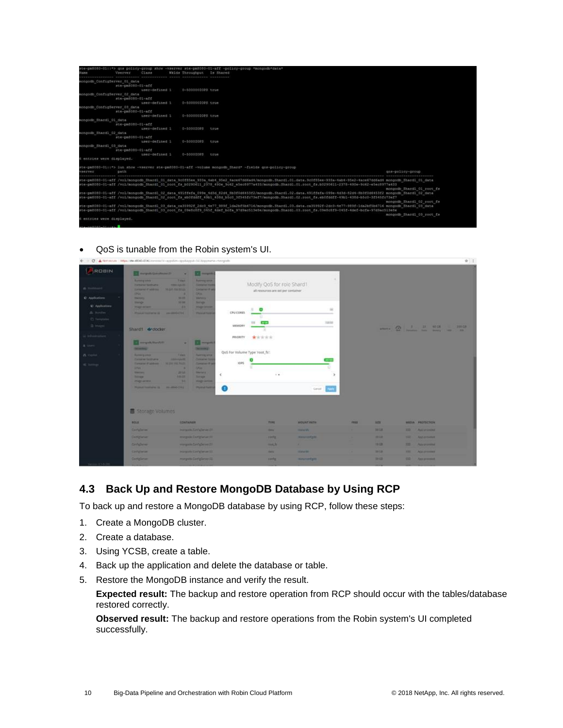|                | Vserver                                           | Class           | Wklds Throughput Is Shared | #te-pm8080-01(1*> gos policy-group show -vserver ste-ym8080-01-aff -policy-group *mongodb*data*                                                                       |                           |
|----------------|---------------------------------------------------|-----------------|----------------------------|-----------------------------------------------------------------------------------------------------------------------------------------------------------------------|---------------------------|
|                | mongodb ConfigServer 01 data                      |                 |                            |                                                                                                                                                                       |                           |
|                | ste-cm3000-01-aff                                 |                 |                            |                                                                                                                                                                       |                           |
|                |                                                   | user-defined I  | 0-50000010P3 true          |                                                                                                                                                                       |                           |
|                | mongodb ConfigServer 02 data                      |                 |                            |                                                                                                                                                                       |                           |
|                | ste-pm8080-01-aff                                 |                 |                            |                                                                                                                                                                       |                           |
|                |                                                   | user-defined 1: | 0-50000010PS true          |                                                                                                                                                                       |                           |
|                | mongodb ConfigServer 03 data<br>ste-pm8080-01-aff |                 |                            |                                                                                                                                                                       |                           |
|                |                                                   | user-defined 1  | 0-50000010PS true          |                                                                                                                                                                       |                           |
|                | mongodb Shardl 01 data                            |                 |                            |                                                                                                                                                                       |                           |
|                | ste-cm3080-01-aff                                 |                 |                            |                                                                                                                                                                       |                           |
|                |                                                   | user-defined 1  | 0-500010PS true            |                                                                                                                                                                       |                           |
|                | mongodb Shardl 02 data                            |                 |                            |                                                                                                                                                                       |                           |
|                | ste-pm8080-01-aff                                 |                 |                            |                                                                                                                                                                       |                           |
|                |                                                   | user-defined 1  | 0-5000IOPS true            |                                                                                                                                                                       |                           |
|                | mongodb Shardi 03 data                            |                 |                            |                                                                                                                                                                       |                           |
|                | ste-pm8080-01-aff                                 |                 |                            |                                                                                                                                                                       |                           |
|                |                                                   | user-defined 1  | 0-5000IOPS true            |                                                                                                                                                                       |                           |
|                | 6 entries were displayed.                         |                 |                            |                                                                                                                                                                       |                           |
|                |                                                   |                 |                            | ste-pm8080-01::4> lun show -vaerver ste-pm8080-01-aff -volume mongodb Shard* -fields gos-policy-group                                                                 |                           |
| <b>VAREVRY</b> | <b>DATA</b>                                       |                 |                            |                                                                                                                                                                       | nos-policy-group          |
|                |                                                   |                 |                            |                                                                                                                                                                       |                           |
|                |                                                   |                 |                            | ste=pm8080=01=aff /vol/mongodb Shard1 01 data 9c0f85ee 933a 4ab4 95e2 4ace67dd6ad4/mongodb,Shard1.01.data.9c0f85ee=933a<4ab4=95e2=4ace67dd6ad4 mongodb Shard1 01 data |                           |
|                |                                                   |                 |                            | ste-pm8080-01-aff /vol/mongodb Shard1 01 root fs b0290611 2378 490e 9c62 e5ec8977a433/mongodb.Shard1.01.root fs.b0290611-2378-490e-9c62-e5ec8977a433                  |                           |
|                |                                                   |                 |                            | ste-pm0000-01-aff /vol/mongodb Shard1 02 data 491ffefa 099e 4d3d 82d4 Rb3f0d6453f2/mongodb.Shard1.02.data.491ffefa-099e-4d3d-82d4-8b3f0d6453f2 mongodb Shard1 02 data | mongodb Shardi Oi root fs |
|                |                                                   |                 |                            | #te-pm8080-01-aff /vol/mongodb_Shandl 02 root fs_eb0fddff 4Wb1_438d_b5c0_3f545fc73ef7/mongodb.Shard1.02.root fs_eb0fddff-49b1-438d-b5c0-3f545fc73ef7                  |                           |
|                |                                                   |                 |                            |                                                                                                                                                                       | mongodh Shardl 02 root fs |
|                |                                                   |                 |                            | ste-pm8080-01-aff /vol/mongodb Shard1 03 data ca35992f 2dc3 4e77 989f 1da2bf5b6716/mongodb.Shard1.03.data.ca35992f-2dc3-4e77-989f-1da2bf5b6716 mongodb Shard1 03 data |                           |
|                |                                                   |                 |                            | ste-pm8080-01-aff /vol/mongodb Shard1 03 rock fs 09e6c8f9 045f 4dmf bcfa 97d9ac513e8e/mongodb.Shard1.03.root fs.09e8c8f9-045f-4def-bcfa-97d9ac513e8e                  |                           |
|                |                                                   |                 |                            |                                                                                                                                                                       | mongodh Shardl 03 root fa |
|                | 6 entries were displayed.                         |                 |                            |                                                                                                                                                                       |                           |
|                |                                                   |                 |                            |                                                                                                                                                                       |                           |
|                |                                                   |                 |                            |                                                                                                                                                                       |                           |

• QoS is tunable from the Robin system's UI.

|                                                        | ← (C) A fint Main : https://the 46040-0000/innereal/innereal/innergodine-spylladput-1al/httpcniews-mangedin                                                 |                                                                                                                                                                                                                                                                                     |                                                               |                                                                   |                                     |             |             |               |                         | 會 工 |
|--------------------------------------------------------|-------------------------------------------------------------------------------------------------------------------------------------------------------------|-------------------------------------------------------------------------------------------------------------------------------------------------------------------------------------------------------------------------------------------------------------------------------------|---------------------------------------------------------------|-------------------------------------------------------------------|-------------------------------------|-------------|-------------|---------------|-------------------------|-----|
| ROBIN<br>di limitane                                   | <b>Characterization of the</b><br><b>Burning Stern</b><br><b>Exchange Sections</b><br><b>Contact of Additional</b>                                          | <b>ROS mergers</b><br>٠<br>Time<br><b>Business Service</b><br>Compraries form<br><b>STATISTICS</b><br><b>HEAR PARTIES</b><br>Contactor III al                                                                                                                                       |                                                               | Modify QoS for role Shard1<br>all resources are set per container | ×                                   |             |             |               |                         |     |
| C Applications:<br><b>K)</b> Applications<br>A. Innihe | <b>DSH</b><br><b>Basicovice</b><br><b>Provide</b><br><b>Haplaced</b><br>Phone manufacturer (8 - are constituted for                                         | <b>CHIA</b><br><b>MOR</b><br><b>Marketin</b><br><b>SAVING</b><br><b>Beach</b><br><b><i><u>STAGE SPINSTER</u></i></b><br><b>Planned Robbin</b>                                                                                                                                       | CPU CORES                                                     | $\bullet$                                                         |                                     |             |             |               |                         |     |
| C families<br>$\frac{1}{2}$ (experts)                  | Shard1 droocter                                                                                                                                             |                                                                                                                                                                                                                                                                                     | MEMORY                                                        |                                                                   | TERRE                               |             |             |               |                         |     |
| <b><i><u>Infrastratore</u></i></b><br>& town :         | <b>Companion of the Company</b><br><b>SECTION</b>                                                                                                           | $\Box = \Box$<br><b>Service</b>                                                                                                                                                                                                                                                     | <b>PRIORITY</b>                                               | *****                                                             |                                     |             |             |               |                         |     |
| <b>B</b> cann<br><b>C</b> hengi                        | <b>Baltimore growth</b><br><b>Complete Scott and</b><br>Tomacai il soldono<br><b>Little</b><br><b>STATISTICS</b><br><b>SHOP</b><br><b>PERSONAL PROPERTY</b> | <b>Painting Street</b><br>Talent<br>Companies from<br><b><i><u>International </u></i></b><br><b>MEDIA FRETRISE</b><br>Companies of an<br><b>CPUS</b><br><br><b>DOM:</b><br><b>MARKET</b><br>100.00<br><b>Service</b><br><b>Chair</b><br><b>Walge-Jamies</b><br><b>Physical Ford</b> | QoS For Volume Type Yoot fs:<br><b>IOPS</b><br>k<br>$\bullet$ | $-$                                                               | <b>Page Fo</b><br>Cancel 1          |             |             |               |                         |     |
|                                                        | Storage Volumes<br><b>BOLE</b>                                                                                                                              | <b>CONTAINER</b>                                                                                                                                                                                                                                                                    |                                                               | <b>TITLE</b>                                                      | <b>MOUNT RATH</b>                   | <b>FRID</b> | <b>SITE</b> |               | <b>MEDIA PROTECTION</b> |     |
|                                                        | <b>Constant</b>                                                                                                                                             | <b>Horwell, Carl Carlos 17</b>                                                                                                                                                                                                                                                      |                                                               | <b>SHOP</b>                                                       | <b><i><u>START OF GROSS</u></i></b> |             | 39 L.E.     |               | 122 - Automobile        |     |
|                                                        | <b>Complete</b>                                                                                                                                             | margain Enrightener III                                                                                                                                                                                                                                                             |                                                               | <b>TOTAL</b>                                                      | <b>MELLIOTATE</b>                   |             | <b>WEE</b>  | <b>STATE</b>  | <b>And environment</b>  |     |
|                                                        | Golden                                                                                                                                                      | warrants Card glances 21                                                                                                                                                                                                                                                            |                                                               | <b>HARLIN</b>                                                     |                                     |             | 19.03       |               | 12 Annunce              |     |
|                                                        | <b>Company</b>                                                                                                                                              | <b>Horschlie Elist Chevrolet III</b>                                                                                                                                                                                                                                                |                                                               | <b>Barnet</b>                                                     | <b><i><u>Product State</u></i></b>  |             | <b>WIE</b>  | <b>THE 11</b> | Als present             |     |
|                                                        | <b>Completion</b>                                                                                                                                           | margum Carl glance III.                                                                                                                                                                                                                                                             |                                                               | santa:                                                            | <b>New York pitch</b>               |             | 2812        | <b>10 1</b>   | Ann provident           |     |
|                                                        |                                                                                                                                                             |                                                                                                                                                                                                                                                                                     |                                                               |                                                                   |                                     |             |             |               |                         |     |

### <span id="page-9-0"></span>**4.3 Back Up and Restore MongoDB Database by Using RCP**

To back up and restore a MongoDB database by using RCP, follow these steps:

- 1. Create a MongoDB cluster.
- 2. Create a database.
- 3. Using YCSB, create a table.
- 4. Back up the application and delete the database or table.
- 5. Restore the MongoDB instance and verify the result.

**Expected result:** The backup and restore operation from RCP should occur with the tables/database restored correctly.

**Observed result:** The backup and restore operations from the Robin system's UI completed successfully.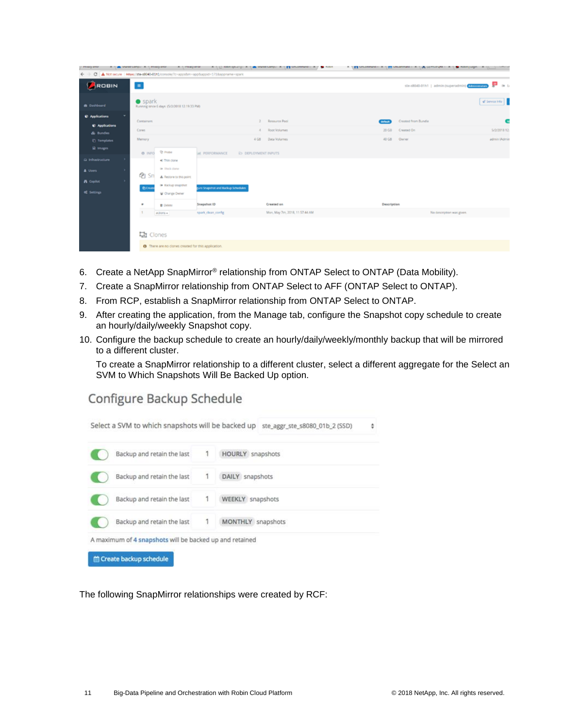| <b>A BARRY BARRY</b><br>$\leftarrow$ $\rightarrow$     |                                                                   | A 1 A West Length A 1 Frequency A 1 Phasylema A 1 D Remaya 21 (A West Length A 1 2 M Londonal) A 1 8 Non-<br>C A Not secure   Niles//ste-8040-01h1/console/7c-apps/tm-app/luppid=171/sepname-spark |                                      |                  |                                              |                                   |
|--------------------------------------------------------|-------------------------------------------------------------------|----------------------------------------------------------------------------------------------------------------------------------------------------------------------------------------------------|--------------------------------------|------------------|----------------------------------------------|-----------------------------------|
| ROBIN                                                  | $\blacksquare$                                                    |                                                                                                                                                                                                    |                                      |                  | ste-s8040-01h1   admin (superadmin) Annungan | ₽<br>$\mathbf{66} \pm \mathbf{1}$ |
| <b>a</b> Dashboard                                     | spark<br>Running since 6 days (5/2/2018 12:19:33 PM)              |                                                                                                                                                                                                    |                                      |                  |                                              | of Service Info                   |
| C Applications<br>C Applications                       | Containers<br>Cores                                               | ÷.<br>$\Delta$                                                                                                                                                                                     | Resource Pool<br><b>Root Volumes</b> | default<br>20 GB | Created from Bundle<br>Craased On            | 5/2/2018 12:                      |
| & Bundles<br><sup>1</sup> Templates<br><b>R</b> Images | Memory                                                            | 4 G8                                                                                                                                                                                               | Data Volumes                         | 40 GB            | Ourier                                       | admin (Admin                      |
| @ Infrastructure                                       | <sup>Q</sup> Probe<br>0.1970<br>C Thin clone<br>(a) litteck clone | AL PERFORMANCE<br><b>E&gt; DEPLOYMENT INPUTS</b>                                                                                                                                                   |                                      |                  |                                              |                                   |
| A Users<br><b>n</b> Copilot                            | @ Sn<br>A Restore to this point<br>I Hackup snapshot              |                                                                                                                                                                                                    |                                      |                  |                                              |                                   |
| of Settings                                            | <b>Q</b> Osas<br>Change Owner<br>٠<br><b>B</b> Delete             | ure Snapshot and Backup Schedules<br>Snapshot ID                                                                                                                                                   | Created on                           | Description      |                                              |                                   |
|                                                        | actions +                                                         | spark clean config.                                                                                                                                                                                | Mon, May 7th, 2018, 11:57:44 AM      |                  | No description was given.                    |                                   |
|                                                        | <b>量</b> Clones                                                   |                                                                                                                                                                                                    |                                      |                  |                                              |                                   |
|                                                        | <sup>0</sup> There are no clones created for this application.    |                                                                                                                                                                                                    |                                      |                  |                                              |                                   |

- 6. Create a NetApp SnapMirror® relationship from ONTAP Select to ONTAP (Data Mobility).
- 7. Create a SnapMirror relationship from ONTAP Select to AFF (ONTAP Select to ONTAP).
- 8. From RCP, establish a SnapMirror relationship from ONTAP Select to ONTAP.
- 9. After creating the application, from the Manage tab, configure the Snapshot copy schedule to create an hourly/daily/weekly Snapshot copy.
- 10. Configure the backup schedule to create an hourly/daily/weekly/monthly backup that will be mirrored to a different cluster.

To create a SnapMirror relationship to a different cluster, select a different aggregate for the Select an SVM to Which Snapshots Will Be Backed Up option.

### Configure Backup Schedule



The following SnapMirror relationships were created by RCF: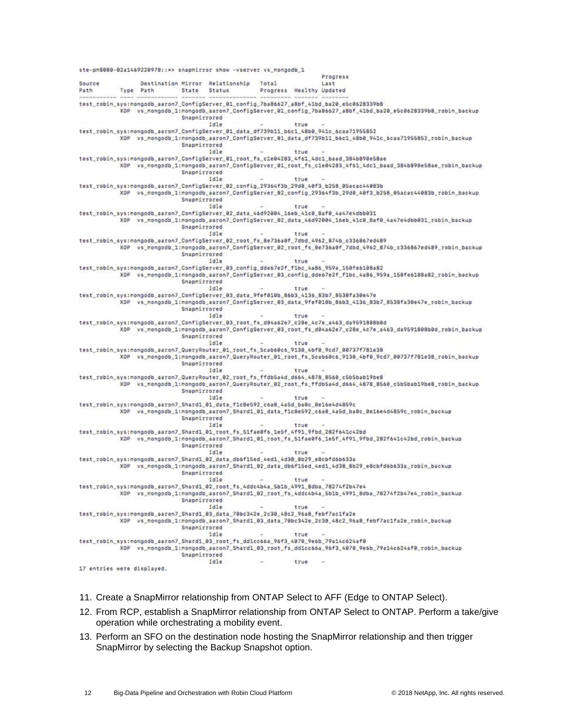ste-pm8080-02a1469220978::\*> snapmirror show -vserver vs\_mongodb\_1 Progress Destination Mirror Relationship Total Source Last Path Type Path State Status Progress Healthy Updated test\_robin\_sys:mongodb\_aaron7\_ConfigServer\_01\_config\_7ba86627\_a8bf\_41bd\_ba20\_e5c0628339b8 XDP vs\_mongodb\_1:mongodb\_aaron7\_ConfigServer\_01\_config\_7ba86627\_a8bf\_41bd\_ba20\_e5c0628339b8\_robin\_backup Snapmirrored Idle true test\_robin\_sys:mongodb\_aaron7\_ConfigServer\_01\_data\_df739b11\_b6c1\_48b0\_941c\_6caa71955852 XDP vs\_mongodb\_1:mongodb\_aaron7\_ConfigServer\_01\_data\_df739b11\_b6c1\_48b0\_941c\_6caa71955852\_robin\_backup Snapmirrored Idle true test\_robin\_sys:mongodb\_aaron7\_ConfigServer\_01\_root\_fs\_c1e04283\_4f61\_4dc1\_baad\_384b890e58ae XDP vs\_mongodb\_1:mongodb\_aaron7\_ConfigServer\_01\_root\_fs\_c1e04283\_4f61\_4dc1\_baad\_384b890e58ae\_robin\_backup Snapmirrored Idle true test\_robin\_sys:mongodb\_aaron7\_ConfigServer\_02\_config\_29364f3b\_29d0\_40f3\_b258\_05acac44083b<br>XDP vs\_mongodb\_1:mongodb\_aaron7\_ConfigServer\_02\_config\_29364f3b\_29d0\_40f3\_b258\_05acac44083b\_robin\_backup Snapmirrored Idle true test\_robin\_sys:mongodb\_aaron7\_ConfigServer\_02\_data\_46d92004\_16eb\_41c0\_8af0\_4a47e4dbb031 XDP vs\_mongodb\_1:mongodb\_aaron7\_ConfigServer\_02\_data\_46d92004\_16eb\_41c0\_8af0\_4a47e4dbb031\_robin\_backup Snapmirrored Idle true test\_robin\_sys:mongodb\_aaron7\_ConfigServer\_02\_root\_fs\_8e736a0f\_7dbd\_4962\_874b\_c336867ed489 XDP vs\_mongodb\_1:mongodb\_aaron7\_ConfigServer\_02\_root\_fs\_8e736a0f\_7dbd\_4962\_874b\_c336867ed489\_robin\_backup Snapmirrored Idle true test\_robin\_sys:mongodb\_aaron7\_ConfigServer\_03\_config\_dde67e2f\_f1bc\_4a86\_959a\_150fe6108a82 XDP vs\_mongodb\_1:mongodb\_aaron7\_ConfigServer\_03\_config\_dde67e2f\_f1bc\_4a86\_959a\_150fe6108a82\_robin\_backup Snapmirrored Idle true test\_robin\_sys:mongodb\_aaron7\_ConfigServer\_03\_data\_9fef010b\_86b3\_4136\_83b7\_8538fa30e47e XDP vs\_mongodb\_1:mongodb\_aaron7\_ConfigServer\_03\_data\_9fef010b\_86b3\_4136\_83b7\_8538fa30e47e\_robin\_backup Snapmirrored Idle true test\_robin\_sys:mongodb\_aaron7\_ConfigServer\_03\_root\_fs\_d04a62e7\_c28e\_4c7e\_a463\_da9591808b0d XDP vs\_mongodb\_1:mongodb\_aaron7\_ConfigServer\_03\_root\_fs\_d04a62e7\_c28e\_4c7e\_a463\_da9591808b0d\_robin\_backup Snapmirrored Idle true test\_robin\_sys:mongodb\_aaron7\_QueryRouter\_01\_root\_fs\_5cab60c6\_9130\_4bf0\_9cd7\_00737f781e38 XDP vs\_mongodb\_1:mongodb\_aaron7\_QueryRouter\_01\_root\_fs\_5cab60c6\_9130\_4bf0\_9cd7\_00737f781e38\_robin\_backup Snapmirrored Idle true test\_robin\_sys:mongodb\_aaron7\_QueryRouter\_02\_root\_fs\_ffdb5a4d\_d664\_4878\_8560\_c5b5bab19be8 XDP vs\_mongodb\_1:mongodb\_aaron7\_QueryRouter\_02\_root\_fs\_ffdb5a4d\_d664\_4878\_8560\_c5b5bab19be8\_robin\_backup Snapmirrored Idle true test\_robin\_sys:mongodb\_aaron7\_Shard1\_01\_data\_f1c8e592\_c6a8\_4a5d\_ba0c\_0e16e4d4859c XDP vs\_mongodb\_1:mongodb\_aaron7\_Shard1\_01\_data\_f1c8e592\_c6a8\_4a5d\_ba0c\_0e16e4d4859c\_robin\_backup Snapmirrored Idle true test\_robin\_sys:mongodb\_aaron7\_Shard1\_01\_root\_fs\_51fae0f6\_1e5f\_4f91\_9fbd\_282f641c42bd XDP vs\_mongodb\_1:mongodb\_aaron7\_Shard1\_01\_root\_fs\_51fae0f6\_1e5f\_4f91\_9fbd\_282f641c42bd\_robin\_backup Snapmirrored Idle true test\_robin\_sys:mongodb\_aaron7\_Shard1\_02\_data\_db6f15ed\_4ed1\_4d38\_8b29\_e8cbfd6b633a XDP vs\_mongodb\_1:mongodb\_aaron7\_Shard1\_02\_data\_db6f15ed\_4ed1\_4d38\_8b29\_e8cbfd6b633a\_robin\_backup Snapmirrored Idle test\_robin\_sys:mongodb\_aaron7\_Shard1\_02\_root\_fs\_4ddc4b4a\_5b1b\_4991\_8dba\_78274f2b47e4 XDP vs\_mongodb\_1:mongodb\_aaron7\_Shard1\_02\_root\_fs\_4ddc4b4a\_5b1b\_4991\_8dba\_78274f2b47e4\_robin\_backup Snapmirrored Idle true test\_robin\_sys:mongodb\_aaron7\_Shard1\_03\_data\_70bc342e\_2c30\_48c2\_96a8\_febf7ac1fa2e XDP vs\_mongodb\_1:mongodb\_aaron7\_Shard1\_03\_data\_70bc342e\_2c30\_48c2\_96a8\_febf7ac1fa2e\_robin\_backup Snapmirrored Idle true test\_robin\_sys:mongodb\_aaron7\_Shard1\_03\_root\_fs\_dd1cc66a\_96f3\_4070\_9e6b\_79a14c624af0 XDP vs\_mongodb\_1:mongodb\_aaron7\_Shard1\_03\_root\_fs\_dd1cc66a\_96f3\_4070\_9e6b\_79a14c624af0\_robin\_backup Snapmirrored Idle  $\sim$ true 17 entries were displayed.

- 11. Create a SnapMirror relationship from ONTAP Select to AFF (Edge to ONTAP Select).
- 12. From RCP, establish a SnapMirror relationship from ONTAP Select to ONTAP. Perform a take/give operation while orchestrating a mobility event.
- 13. Perform an SFO on the destination node hosting the SnapMirror relationship and then trigger SnapMirror by selecting the Backup Snapshot option.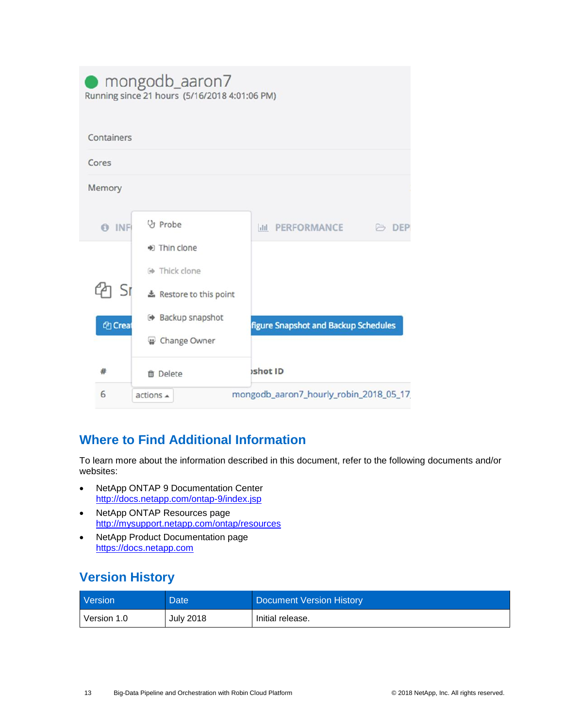|                      | mongodb_aaron7<br>Running since 21 hours (5/16/2018 4:01:06 PM)                                     |                                        |              |
|----------------------|-----------------------------------------------------------------------------------------------------|----------------------------------------|--------------|
| Containers           |                                                                                                     |                                        |              |
| Cores                |                                                                                                     |                                        |              |
| Memory               |                                                                                                     |                                        |              |
| <b>O</b> INF<br>1 Sr | V <sub>y</sub> Probe<br>$\Rightarrow$ Thin clone<br><b>E</b> Thick clone<br>* Restore to this point | <b>III PERFORMANCE</b>                 | <b>B</b> DEP |
| <sup>2</sup> Creat   | <b>■ Backup snapshot</b><br>Change Owner                                                            | figure Snapshot and Backup Schedules   |              |
| #                    | <b>前</b> Delete                                                                                     | ishot ID                               |              |
| 6                    | actions <b>A</b>                                                                                    | mongodb_aaron7_hourly_robin_2018_05_17 |              |

# <span id="page-12-0"></span>**Where to Find Additional Information**

To learn more about the information described in this document, refer to the following documents and/or websites:

- NetApp ONTAP 9 Documentation Center <http://docs.netapp.com/ontap-9/index.jsp>
- NetApp ONTAP Resources page <http://mysupport.netapp.com/ontap/resources>
- NetApp Product Documentation page [https://docs.netapp.com](https://docs.netapp.com/)

# <span id="page-12-1"></span>**Version History**

| <b>Version</b> | Date <sup>1</sup> | Document Version History |
|----------------|-------------------|--------------------------|
| Version 1.0    | <b>July 2018</b>  | Initial release.         |